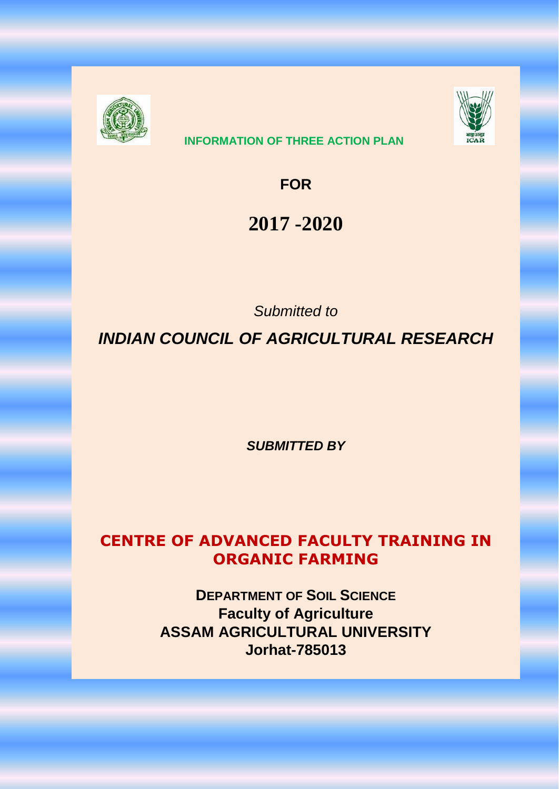

# **INFORMATION OF THREE ACTION PLAN**



**FOR**

# **2017 -2020**

*Submitted to*

*INDIAN COUNCIL OF AGRICULTURAL RESEARCH*

*SUBMITTED BY*

# **CENTRE OF ADVANCED FACULTY TRAINING IN ORGANIC FARMING**

**DEPARTMENT OF SOIL SCIENCE Faculty of Agriculture ASSAM AGRICULTURAL UNIVERSITY Jorhat-785013**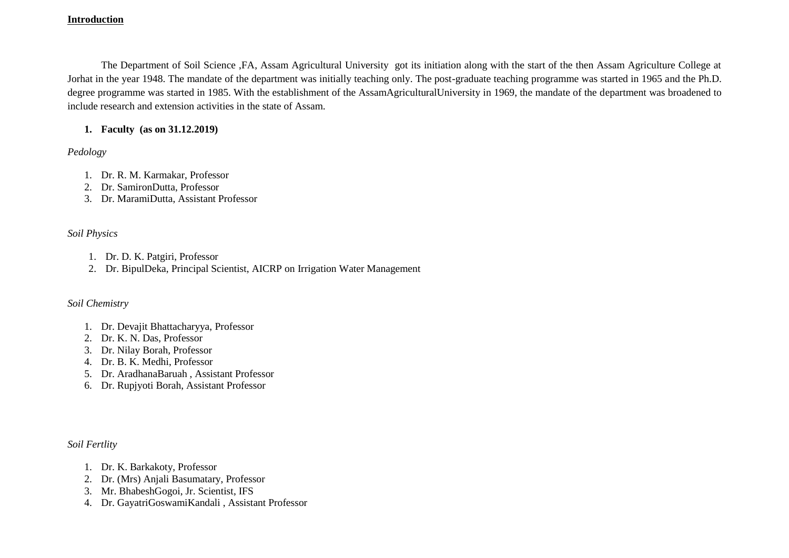#### **Introduction**

The Department of Soil Science ,FA, Assam Agricultural University got its initiation along with the start of the then Assam Agriculture College at Jorhat in the year 1948. The mandate of the department was initially teaching only. The post-graduate teaching programme was started in 1965 and the Ph.D. degree programme was started in 1985. With the establishment of the AssamAgriculturalUniversity in 1969, the mandate of the department was broadened to include research and extension activities in the state of Assam.

### **1. Faculty (as on 31.12.2019)**

*Pedology*

- 1. Dr. R. M. Karmakar, Professor
- 2. Dr. SamironDutta, Professor
- 3. Dr. MaramiDutta, Assistant Professor

### *Soil Physics*

- 1. Dr. D. K. Patgiri, Professor
- 2. Dr. BipulDeka, Principal Scientist, AICRP on Irrigation Water Management

#### *Soil Chemistry*

- 1. Dr. Devajit Bhattacharyya, Professor
- 2. Dr. K. N. Das, Professor
- 3. Dr. Nilay Borah, Professor
- 4. Dr. B. K. Medhi, Professor
- 5. Dr. AradhanaBaruah , Assistant Professor
- 6. Dr. Rupjyoti Borah, Assistant Professor

*Soil Fertlity*

- 1. Dr. K. Barkakoty, Professor
- 2. Dr. (Mrs) Anjali Basumatary, Professor
- 3. Mr. BhabeshGogoi, Jr. Scientist, IFS
- 4. Dr. GayatriGoswamiKandali , Assistant Professor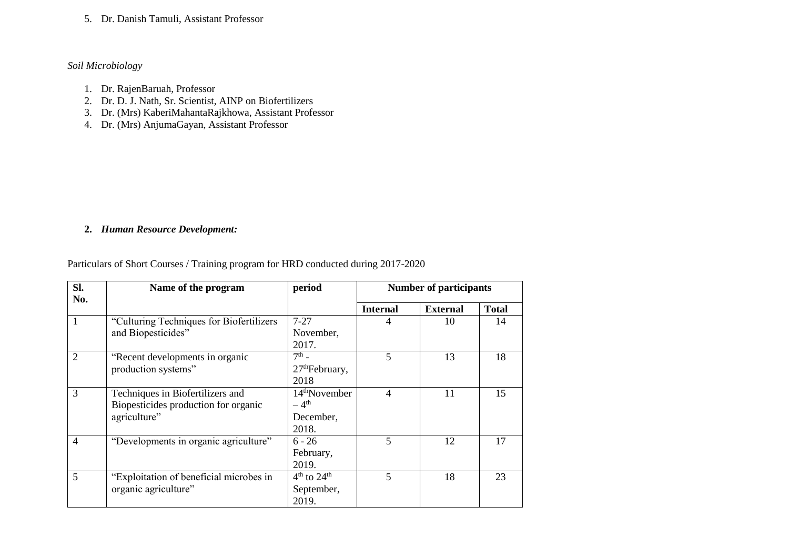5. Dr. Danish Tamuli, Assistant Professor

#### *Soil Microbiology*

- 1. Dr. RajenBaruah, Professor
- 2. Dr. D. J. Nath, Sr. Scientist, AINP on Biofertilizers
- 3. Dr. (Mrs) KaberiMahantaRajkhowa, Assistant Professor
- 4. Dr. (Mrs) AnjumaGayan, Assistant Professor

## **2.** *Human Resource Development:*

## Particulars of Short Courses / Training program for HRD conducted during 2017-2020

| Sl.            | Name of the program                                                                      | period                                          | <b>Number of participants</b> |                 |              |
|----------------|------------------------------------------------------------------------------------------|-------------------------------------------------|-------------------------------|-----------------|--------------|
| No.            |                                                                                          |                                                 | <b>Internal</b>               | <b>External</b> | <b>Total</b> |
| 1              | "Culturing Techniques for Biofertilizers<br>and Biopesticides"                           | $7 - 27$<br>November,<br>2017.                  | 4                             | 10              | 14           |
| $\overline{2}$ | "Recent developments in organic<br>production systems"                                   | $7th$ -<br>27 <sup>th</sup> February,<br>2018   | 5                             | 13              | 18           |
| 3              | Techniques in Biofertilizers and<br>Biopesticides production for organic<br>agriculture" | $14th$ November<br>$-4th$<br>December,<br>2018. | 4                             | 11              | 15           |
| $\overline{4}$ | "Developments in organic agriculture"                                                    | $6 - 26$<br>February,<br>2019.                  | 5                             | 12              | 17           |
| 5              | "Exploitation of beneficial microbes in<br>organic agriculture"                          | $4th$ to $24th$<br>September,<br>2019.          | 5                             | 18              | 23           |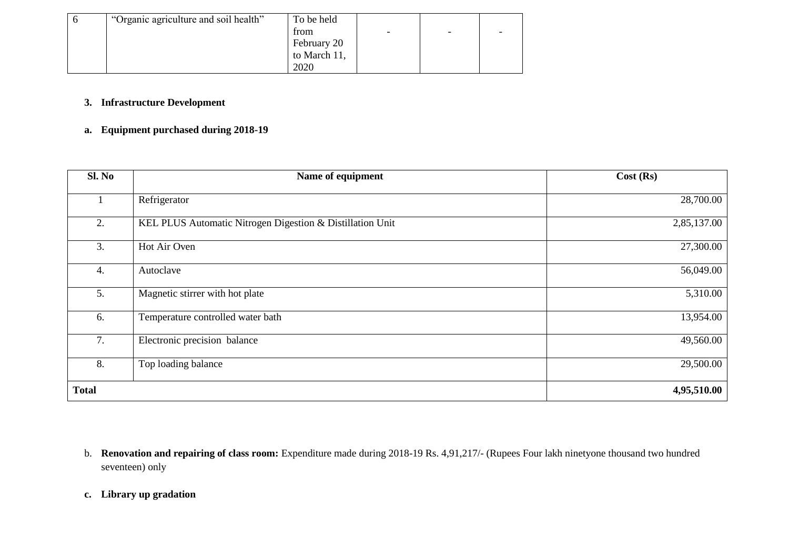| "Organic agriculture and soil health" | To be held   |                          |                          |                          |
|---------------------------------------|--------------|--------------------------|--------------------------|--------------------------|
|                                       | trom         | $\overline{\phantom{0}}$ | $\overline{\phantom{0}}$ | $\overline{\phantom{0}}$ |
|                                       | February 20  |                          |                          |                          |
|                                       | to March 11, |                          |                          |                          |
|                                       | 2020         |                          |                          |                          |

## **3. Infrastructure Development**

## **a. Equipment purchased during 2018-19**

| Sl. No       | Name of equipment                                         | Cost(Rs)    |
|--------------|-----------------------------------------------------------|-------------|
|              | Refrigerator                                              | 28,700.00   |
| 2.           | KEL PLUS Automatic Nitrogen Digestion & Distillation Unit | 2,85,137.00 |
| 3.           | Hot Air Oven                                              | 27,300.00   |
| 4.           | Autoclave                                                 | 56,049.00   |
| 5.           | Magnetic stirrer with hot plate                           | 5,310.00    |
| 6.           | Temperature controlled water bath                         | 13,954.00   |
| 7.           | Electronic precision balance                              | 49,560.00   |
| 8.           | Top loading balance                                       | 29,500.00   |
| <b>Total</b> |                                                           | 4,95,510.00 |

b. **Renovation and repairing of class room:** Expenditure made during 2018-19 Rs. 4,91,217/- (Rupees Four lakh ninetyone thousand two hundred seventeen) only

#### **c. Library up gradation**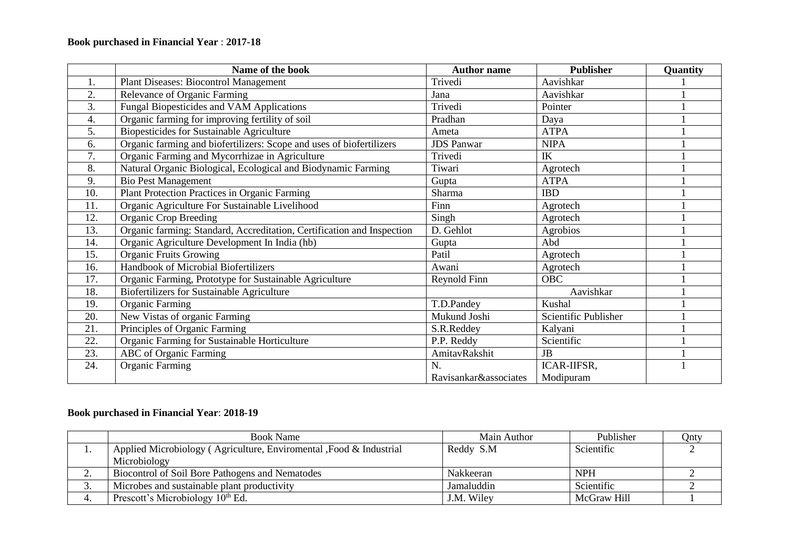## **Book purchased in Financial Year** : **2017-18**

|     | Name of the book                                                       | <b>Author name</b>    | <b>Publisher</b>     | Quantity |
|-----|------------------------------------------------------------------------|-----------------------|----------------------|----------|
| 1.  | Plant Diseases: Biocontrol Management                                  | Trivedi               | Aavishkar            |          |
| 2.  | Relevance of Organic Farming                                           | Jana                  | Aavishkar            |          |
| 3.  | Fungal Biopesticides and VAM Applications                              | Trivedi               | Pointer              |          |
| 4.  | Organic farming for improving fertility of soil                        | Pradhan               | Daya                 |          |
| 5.  | Biopesticides for Sustainable Agriculture                              | Ameta                 | <b>ATPA</b>          |          |
| 6.  | Organic farming and biofertilizers: Scope and uses of biofertilizers   | <b>JDS</b> Panwar     | <b>NIPA</b>          |          |
| 7.  | Organic Farming and Mycorrhizae in Agriculture                         | Trivedi               | IK                   |          |
| 8.  | Natural Organic Biological, Ecological and Biodynamic Farming          | Tiwari                | Agrotech             |          |
| 9.  | <b>Bio Pest Management</b>                                             | Gupta                 | <b>ATPA</b>          |          |
| 10. | Plant Protection Practices in Organic Farming                          | Sharma                | <b>IBD</b>           |          |
| 11. | Organic Agriculture For Sustainable Livelihood                         | Finn                  | Agrotech             |          |
| 12. | <b>Organic Crop Breeding</b>                                           | Singh                 | Agrotech             |          |
| 13. | Organic farming: Standard, Accreditation, Certification and Inspection | D. Gehlot             | Agrobios             |          |
| 14. | Organic Agriculture Development In India (hb)                          | Gupta                 | Abd                  |          |
| 15. | <b>Organic Fruits Growing</b>                                          | Patil                 | Agrotech             |          |
| 16. | Handbook of Microbial Biofertilizers                                   | Awani                 | Agrotech             |          |
| 17. | Organic Farming, Prototype for Sustainable Agriculture                 | Reynold Finn          | <b>OBC</b>           |          |
| 18. | Biofertilizers for Sustainable Agriculture                             |                       | Aavishkar            |          |
| 19. | <b>Organic Farming</b>                                                 | T.D.Pandey            | Kushal               |          |
| 20. | New Vistas of organic Farming                                          | Mukund Joshi          | Scientific Publisher |          |
| 21. | Principles of Organic Farming                                          | S.R.Reddey            | Kalyani              |          |
| 22. | Organic Farming for Sustainable Horticulture                           | P.P. Reddy            | Scientific           |          |
| 23. | <b>ABC</b> of Organic Farming                                          | AmitavRakshit         | <b>JB</b>            |          |
| 24. | <b>Organic Farming</b>                                                 | N.                    | ICAR-IIFSR,          |          |
|     |                                                                        | Ravisankar&associates | Modipuram            |          |

## **Book purchased in Financial Year**: **2018-19**

|     | <b>Book Name</b>                                                    | Main Author | Publisher   | Qnty |
|-----|---------------------------------------------------------------------|-------------|-------------|------|
| . . | Applied Microbiology (Agriculture, Enviromental , Food & Industrial | Reddy S.M   | Scientific  |      |
|     | Microbiology                                                        |             |             |      |
| ∼.  | Biocontrol of Soil Bore Pathogens and Nematodes                     | Nakkeeran   | <b>NPH</b>  |      |
| J.  | Microbes and sustainable plant productivity                         | Jamaluddin  | Scientific  |      |
|     | Prescott's Microbiology 10 <sup>th</sup> Ed.                        | J.M. Wiley  | McGraw Hill |      |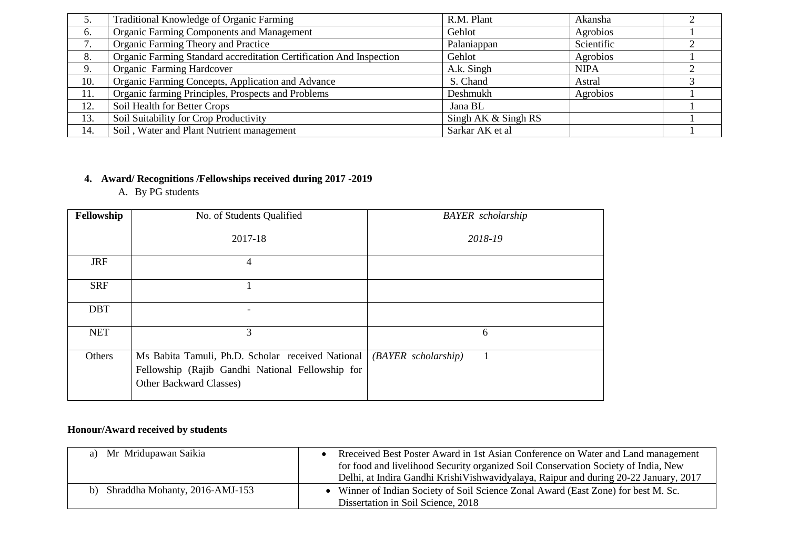|                               | Traditional Knowledge of Organic Farming                            | R.M. Plant            | Akansha     |  |
|-------------------------------|---------------------------------------------------------------------|-----------------------|-------------|--|
| 6.                            | <b>Organic Farming Components and Management</b>                    | Gehlot                | Agrobios    |  |
| ⇁<br>$\overline{\phantom{a}}$ | Organic Farming Theory and Practice                                 | Palaniappan           | Scientific  |  |
| 8.                            | Organic Farming Standard accreditation Certification And Inspection | Gehlot                | Agrobios    |  |
| 9.                            | Organic Farming Hardcover                                           | A.k. Singh            | <b>NIPA</b> |  |
| 10.                           | Organic Farming Concepts, Application and Advance                   | S. Chand              | Astral      |  |
| 11.                           | Organic farming Principles, Prospects and Problems                  | Deshmukh              | Agrobios    |  |
| 12.                           | Soil Health for Better Crops                                        | Jana BL               |             |  |
| 13.                           | Soil Suitability for Crop Productivity                              | Singh AK $&$ Singh RS |             |  |
| 14.                           | Soil, Water and Plant Nutrient management                           | Sarkar AK et al       |             |  |

# **4. Award/ Recognitions /Fellowships received during 2017 -2019**

A. By PG students

| Fellowship | No. of Students Qualified                                                                                                        | <b>BAYER</b> scholarship |
|------------|----------------------------------------------------------------------------------------------------------------------------------|--------------------------|
|            | 2017-18                                                                                                                          | 2018-19                  |
| <b>JRF</b> | 4                                                                                                                                |                          |
| <b>SRF</b> |                                                                                                                                  |                          |
| <b>DBT</b> |                                                                                                                                  |                          |
| <b>NET</b> | 3                                                                                                                                | 6                        |
| Others     | Ms Babita Tamuli, Ph.D. Scholar received National<br>Fellowship (Rajib Gandhi National Fellowship for<br>Other Backward Classes) | $(BAYER \nscholarship)$  |

## **Honour/Award received by students**

| a) Mr Mridupawan Saikia           | Received Best Poster Award in 1st Asian Conference on Water and Land management<br>for food and livelihood Security organized Soil Conservation Society of India, New<br>Delhi, at Indira Gandhi Krishi Vishwavidyalaya, Raipur and during 20-22 January, 2017 |
|-----------------------------------|----------------------------------------------------------------------------------------------------------------------------------------------------------------------------------------------------------------------------------------------------------------|
| b) Shraddha Mohanty, 2016-AMJ-153 | • Winner of Indian Society of Soil Science Zonal Award (East Zone) for best M. Sc.<br>Dissertation in Soil Science, 2018                                                                                                                                       |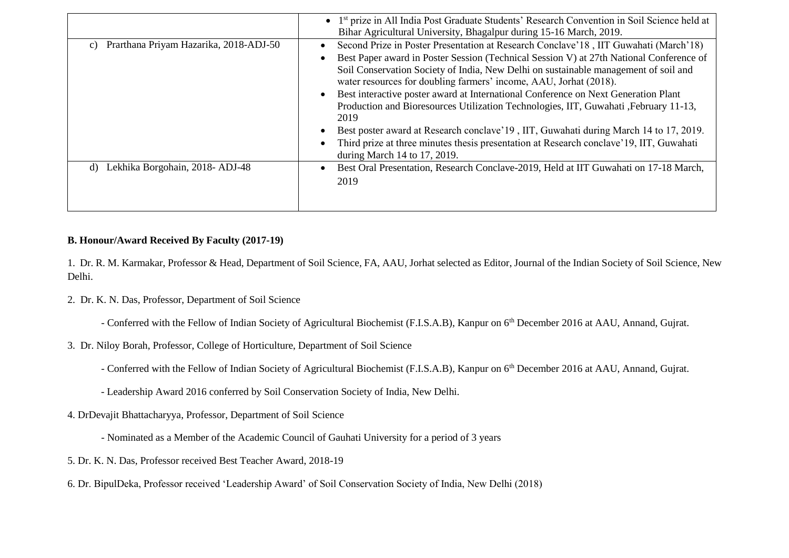|                                              | • 1 <sup>st</sup> prize in All India Post Graduate Students' Research Convention in Soil Science held at<br>Bihar Agricultural University, Bhagalpur during 15-16 March, 2019.                                                                                                                                                                                                                                                                                                                                                                                                                                                                        |
|----------------------------------------------|-------------------------------------------------------------------------------------------------------------------------------------------------------------------------------------------------------------------------------------------------------------------------------------------------------------------------------------------------------------------------------------------------------------------------------------------------------------------------------------------------------------------------------------------------------------------------------------------------------------------------------------------------------|
| Prarthana Priyam Hazarika, 2018-ADJ-50<br>C) | Second Prize in Poster Presentation at Research Conclave'18, IIT Guwahati (March'18)<br>$\bullet$<br>Best Paper award in Poster Session (Technical Session V) at 27th National Conference of<br>Soil Conservation Society of India, New Delhi on sustainable management of soil and<br>water resources for doubling farmers' income, AAU, Jorhat (2018).<br>Best interactive poster award at International Conference on Next Generation Plant<br>$\bullet$<br>Production and Bioresources Utilization Technologies, IIT, Guwahati, February 11-13,<br>2019<br>Best poster award at Research conclave '19, IIT, Guwahati during March 14 to 17, 2019. |
|                                              | Third prize at three minutes thesis presentation at Research conclave'19, IIT, Guwahati<br>during March 14 to 17, 2019.                                                                                                                                                                                                                                                                                                                                                                                                                                                                                                                               |
| Lekhika Borgohain, 2018- ADJ-48<br>d)        | Best Oral Presentation, Research Conclave-2019, Held at IIT Guwahati on 17-18 March,<br>$\bullet$<br>2019                                                                                                                                                                                                                                                                                                                                                                                                                                                                                                                                             |

### **B. Honour/Award Received By Faculty (2017-19)**

1. Dr. R. M. Karmakar, Professor & Head, Department of Soil Science, FA, AAU, Jorhat selected as Editor, Journal of the Indian Society of Soil Science, New Delhi.

2. Dr. K. N. Das, Professor, Department of Soil Science

- Conferred with the Fellow of Indian Society of Agricultural Biochemist (F.I.S.A.B), Kanpur on 6<sup>th</sup> December 2016 at AAU, Annand, Gujrat.

- 3. Dr. Niloy Borah, Professor, College of Horticulture, Department of Soil Science
	- Conferred with the Fellow of Indian Society of Agricultural Biochemist (F.I.S.A.B), Kanpur on 6th December 2016 at AAU, Annand, Gujrat.
	- Leadership Award 2016 conferred by Soil Conservation Society of India, New Delhi.
- 4. DrDevajit Bhattacharyya, Professor, Department of Soil Science
	- Nominated as a Member of the Academic Council of Gauhati University for a period of 3 years
- 5. Dr. K. N. Das, Professor received Best Teacher Award, 2018-19
- 6. Dr. BipulDeka, Professor received 'Leadership Award' of Soil Conservation Society of India, New Delhi (2018)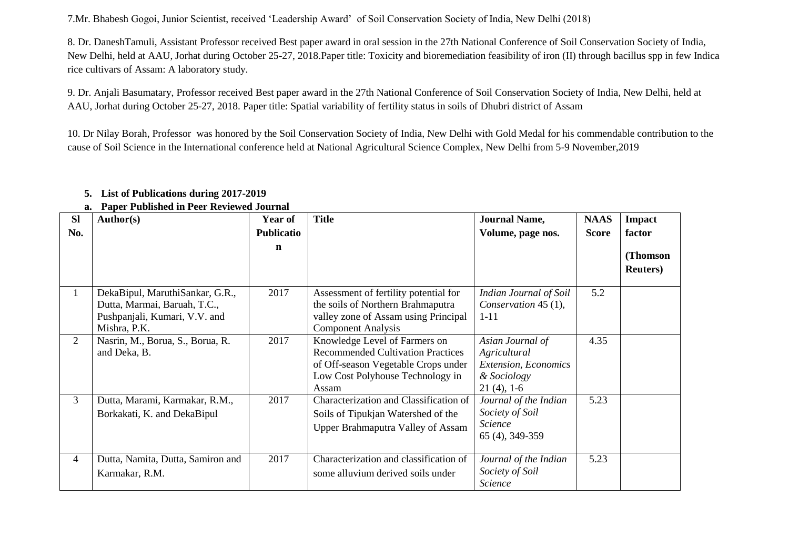7.Mr. Bhabesh Gogoi, Junior Scientist, received 'Leadership Award' of Soil Conservation Society of India, New Delhi (2018)

8. Dr. DaneshTamuli, Assistant Professor received Best paper award in oral session in the 27th National Conference of Soil Conservation Society of India, New Delhi, held at AAU, Jorhat during October 25-27, 2018.Paper title: Toxicity and bioremediation feasibility of iron (II) through bacillus spp in few Indica rice cultivars of Assam: A laboratory study.

9. Dr. Anjali Basumatary, Professor received Best paper award in the 27th National Conference of Soil Conservation Society of India, New Delhi, held at AAU, Jorhat during October 25-27, 2018. Paper title: Spatial variability of fertility status in soils of Dhubri district of Assam

10. Dr Nilay Borah, Professor was honored by the Soil Conservation Society of India, New Delhi with Gold Medal for his commendable contribution to the cause of Soil Science in the International conference held at National Agricultural Science Complex, New Delhi from 5-9 November,2019

| <b>SI</b>      | Author(s)                                                                                                        | <b>Year of</b> | <b>Title</b>                                                                                                                                                  | <b>Journal Name,</b>                                                                            | <b>NAAS</b>  | Impact                       |
|----------------|------------------------------------------------------------------------------------------------------------------|----------------|---------------------------------------------------------------------------------------------------------------------------------------------------------------|-------------------------------------------------------------------------------------------------|--------------|------------------------------|
| No.            |                                                                                                                  | Publicatio     |                                                                                                                                                               | Volume, page nos.                                                                               | <b>Score</b> | factor                       |
|                |                                                                                                                  | $\mathbf n$    |                                                                                                                                                               |                                                                                                 |              | (Thomson<br><b>Reuters</b> ) |
| 1              | DekaBipul, MaruthiSankar, G.R.,<br>Dutta, Marmai, Baruah, T.C.,<br>Pushpanjali, Kumari, V.V. and<br>Mishra, P.K. | 2017           | Assessment of fertility potential for<br>the soils of Northern Brahmaputra<br>valley zone of Assam using Principal<br><b>Component Analysis</b>               | Indian Journal of Soil<br>Conservation 45 (1),<br>$1 - 11$                                      | 5.2          |                              |
| $\overline{2}$ | Nasrin, M., Borua, S., Borua, R.<br>and Deka, B.                                                                 | 2017           | Knowledge Level of Farmers on<br><b>Recommended Cultivation Practices</b><br>of Off-season Vegetable Crops under<br>Low Cost Polyhouse Technology in<br>Assam | Asian Journal of<br>Agricultural<br><b>Extension, Economics</b><br>& Sociology<br>$21(4)$ , 1-6 | 4.35         |                              |
| 3              | Dutta, Marami, Karmakar, R.M.,<br>Borkakati, K. and DekaBipul                                                    | 2017           | Characterization and Classification of<br>Soils of Tipukjan Watershed of the<br><b>Upper Brahmaputra Valley of Assam</b>                                      | Journal of the Indian<br>Society of Soil<br><b>Science</b><br>65 (4), 349-359                   | 5.23         |                              |
| 4              | Dutta, Namita, Dutta, Samiron and<br>Karmakar, R.M.                                                              | 2017           | Characterization and classification of<br>some alluvium derived soils under                                                                                   | Journal of the Indian<br>Society of Soil<br>Science                                             | 5.23         |                              |

# **5. List of Publications during 2017-2019**

**a. Paper Published in Peer Reviewed Journal**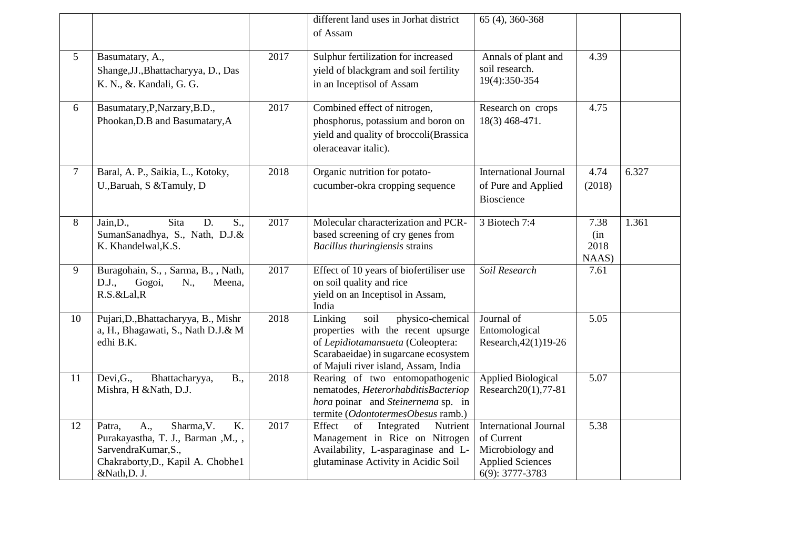|                 |                                                                                                                                                                  |      | different land uses in Jorhat district<br>of Assam                                                                                                                                             | 65 (4), 360-368                                                                                              |                              |       |
|-----------------|------------------------------------------------------------------------------------------------------------------------------------------------------------------|------|------------------------------------------------------------------------------------------------------------------------------------------------------------------------------------------------|--------------------------------------------------------------------------------------------------------------|------------------------------|-------|
| 5               | Basumatary, A.,<br>Shange, JJ., Bhattacharyya, D., Das<br>K. N., &. Kandali, G. G.                                                                               | 2017 | Sulphur fertilization for increased<br>yield of blackgram and soil fertility<br>in an Inceptisol of Assam                                                                                      | Annals of plant and<br>soil research.<br>19(4):350-354                                                       | 4.39                         |       |
| 6               | Basumatary, P, Narzary, B.D.,<br>Phookan, D.B and Basumatary, A                                                                                                  | 2017 | Combined effect of nitrogen,<br>phosphorus, potassium and boron on<br>yield and quality of broccoli(Brassica<br>oleraceavar italic).                                                           | Research on crops<br>18(3) 468-471.                                                                          | 4.75                         |       |
| $7\phantom{.0}$ | Baral, A. P., Saikia, L., Kotoky,<br>U., Baruah, S & Tamuly, D                                                                                                   | 2018 | Organic nutrition for potato-<br>cucumber-okra cropping sequence                                                                                                                               | <b>International Journal</b><br>of Pure and Applied<br>Bioscience                                            | 4.74<br>(2018)               | 6.327 |
| 8               | Sita<br>Jain, D.,<br>D.<br>$S_{\cdot\cdot}$<br>SumanSanadhya, S., Nath, D.J.&<br>K. Khandelwal, K.S.                                                             | 2017 | Molecular characterization and PCR-<br>based screening of cry genes from<br>Bacillus thuringiensis strains                                                                                     | 3 Biotech 7:4                                                                                                | 7.38<br>(in<br>2018<br>NAAS) | 1.361 |
| 9               | Buragohain, S., , Sarma, B., , Nath,<br>Gogoi,<br>D.J.,<br>N.,<br>Meena,<br>R.S.&Lal,R                                                                           | 2017 | Effect of 10 years of biofertiliser use<br>on soil quality and rice<br>yield on an Inceptisol in Assam,<br>India                                                                               | Soil Research                                                                                                | 7.61                         |       |
| 10              | Pujari, D., Bhattacharyya, B., Mishr<br>a, H., Bhagawati, S., Nath D.J.& M<br>edhi B.K.                                                                          | 2018 | soil<br>Linking<br>physico-chemical<br>properties with the recent upsurge<br>of Lepidiotamansueta (Coleoptera:<br>Scarabaeidae) in sugarcane ecosystem<br>of Majuli river island, Assam, India | Journal of<br>Entomological<br>Research, 42(1)19-26                                                          | $\overline{5.05}$            |       |
| 11              | Devi, G.,<br>Bhattacharyya,<br><b>B.,</b><br>Mishra, H &Nath, D.J.                                                                                               | 2018 | Rearing of two entomopathogenic<br>nematodes, HeterorhabditisBacteriop<br>hora poinar and Steinernema sp. in<br>termite (OdontotermesObesus ramb.)                                             | <b>Applied Biological</b><br>Research20(1),77-81                                                             | 5.07                         |       |
| 12              | Sharma, V.<br>$\overline{K}$ .<br>A.,<br>Patra,<br>Purakayastha, T. J., Barman, M.,,<br>SarvendraKumar, S.,<br>Chakraborty, D., Kapil A. Chobhe1<br>&Nath, D. J. | 2017 | Effect<br>of<br>Integrated<br>Nutrient<br>Management in Rice on Nitrogen<br>Availability, L-asparaginase and L-<br>glutaminase Activity in Acidic Soil                                         | <b>International Journal</b><br>of Current<br>Microbiology and<br><b>Applied Sciences</b><br>6(9): 3777-3783 | 5.38                         |       |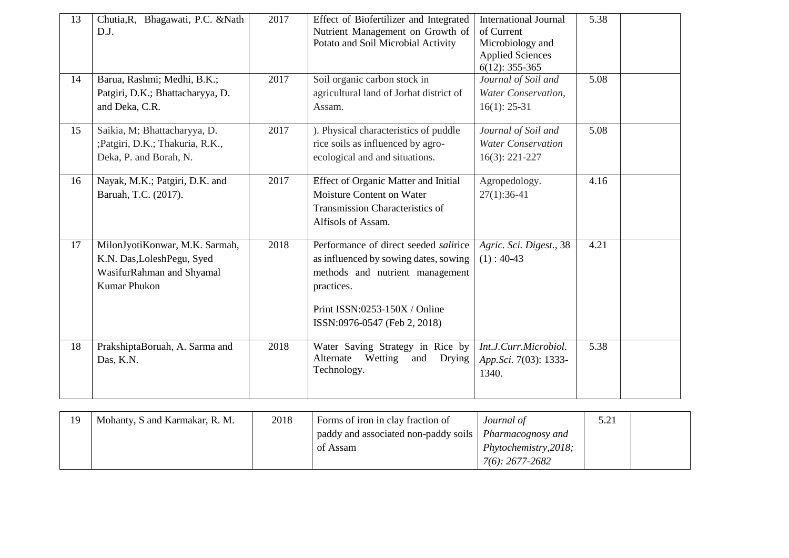| 13 | Chutia, R, Bhagawati, P.C. & Nath<br>D.J.                                                                        | 2017 | Effect of Biofertilizer and Integrated<br>Nutrient Management on Growth of<br>Potato and Soil Microbial Activity                                                                                 | <b>International Journal</b><br>of Current<br>Microbiology and<br><b>Applied Sciences</b><br>$6(12): 355-365$ | 5.38 |  |
|----|------------------------------------------------------------------------------------------------------------------|------|--------------------------------------------------------------------------------------------------------------------------------------------------------------------------------------------------|---------------------------------------------------------------------------------------------------------------|------|--|
| 14 | Barua, Rashmi; Medhi, B.K.;<br>Patgiri, D.K.; Bhattacharyya, D.<br>and Deka, C.R.                                | 2017 | Soil organic carbon stock in<br>agricultural land of Jorhat district of<br>Assam.                                                                                                                | Journal of Soil and<br>Water Conservation,<br>$16(1): 25-31$                                                  | 5.08 |  |
| 15 | Saikia, M; Bhattacharyya, D.<br>;Patgiri, D.K.; Thakuria, R.K.,<br>Deka, P. and Borah, N.                        | 2017 | ). Physical characteristics of puddle<br>rice soils as influenced by agro-<br>ecological and and situations.                                                                                     | Journal of Soil and<br><b>Water Conservation</b><br>$16(3)$ : 221-227                                         | 5.08 |  |
| 16 | Nayak, M.K.; Patgiri, D.K. and<br>Baruah, T.C. (2017).                                                           | 2017 | Effect of Organic Matter and Initial<br>Moisture Content on Water<br>Transmission Characteristics of<br>Alfisols of Assam.                                                                       | Agropedology.<br>$27(1):36-41$                                                                                | 4.16 |  |
| 17 | MilonJyotiKonwar, M.K. Sarmah,<br>K.N. Das, LoleshPegu, Syed<br>WasifurRahman and Shyamal<br><b>Kumar Phukon</b> | 2018 | Performance of direct seeded salirice<br>as influenced by sowing dates, sowing<br>methods and nutrient management<br>practices.<br>Print ISSN:0253-150X / Online<br>ISSN:0976-0547 (Feb 2, 2018) | Agric. Sci. Digest., 38<br>$(1): 40-43$                                                                       | 4.21 |  |
| 18 | PrakshiptaBoruah, A. Sarma and<br>Das, K.N.                                                                      | 2018 | Water Saving Strategy in Rice by<br>Alternate<br>Wetting<br>Drying<br>and<br>Technology.                                                                                                         | Int.J.Curr.Microbiol.<br>App.Sci. 7(03): 1333-<br>1340.                                                       | 5.38 |  |

| 19 | Mohanty, S and Karmakar, R. M. | 2018 | Forms of iron in clay fraction of                        | Journal of              | 5.21 |  |
|----|--------------------------------|------|----------------------------------------------------------|-------------------------|------|--|
|    |                                |      | paddy and associated non-paddy soils   Pharmacognosy and |                         |      |  |
|    |                                |      | of Assam                                                 | Phy to chemistry, 2018; |      |  |
|    |                                |      |                                                          | 7(6): 2677-2682         |      |  |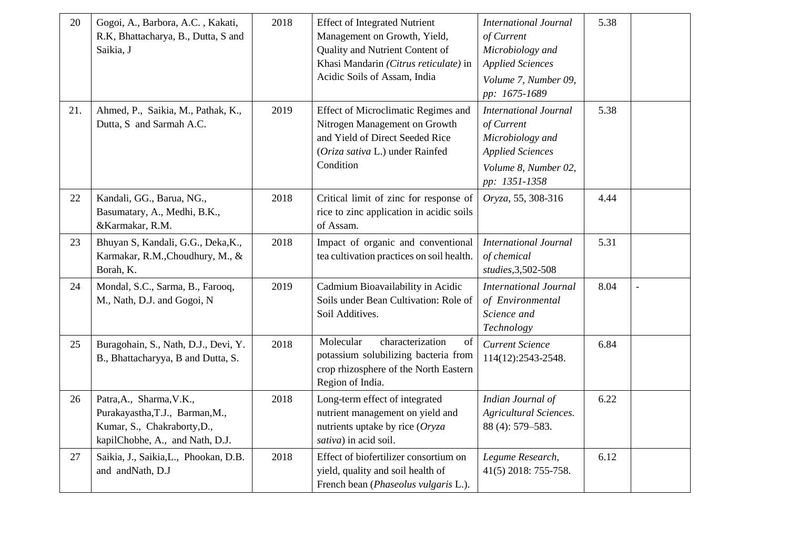| 20  | Gogoi, A., Barbora, A.C., Kakati,<br>R.K, Bhattacharya, B., Dutta, S and<br>Saikia, J                                         | 2018 | <b>Effect of Integrated Nutrient</b><br>Management on Growth, Yield,<br>Quality and Nutrient Content of<br>Khasi Mandarin (Citrus reticulate) in<br>Acidic Soils of Assam, India | <b>International Journal</b><br>of Current<br>Microbiology and<br><b>Applied Sciences</b><br>Volume 7, Number 09,<br>pp: 1675-1689 | 5.38 |  |
|-----|-------------------------------------------------------------------------------------------------------------------------------|------|----------------------------------------------------------------------------------------------------------------------------------------------------------------------------------|------------------------------------------------------------------------------------------------------------------------------------|------|--|
| 21. | Ahmed, P., Saikia, M., Pathak, K.,<br>Dutta, S and Sarmah A.C.                                                                | 2019 | Effect of Microclimatic Regimes and<br>Nitrogen Management on Growth<br>and Yield of Direct Seeded Rice<br>(Oriza sativa L.) under Rainfed<br>Condition                          | <b>International Journal</b><br>of Current<br>Microbiology and<br><b>Applied Sciences</b><br>Volume 8, Number 02,<br>pp: 1351-1358 | 5.38 |  |
| 22  | Kandali, GG., Barua, NG.,<br>Basumatary, A., Medhi, B.K.,<br>&Karmakar, R.M.                                                  | 2018 | Critical limit of zinc for response of<br>rice to zinc application in acidic soils<br>of Assam.                                                                                  | Oryza, 55, 308-316                                                                                                                 | 4.44 |  |
| 23  | Bhuyan S, Kandali, G.G., Deka, K.,<br>Karmakar, R.M., Choudhury, M., &<br>Borah, K.                                           | 2018 | Impact of organic and conventional<br>tea cultivation practices on soil health.                                                                                                  | <b>International Journal</b><br>of chemical<br>studies, 3,502-508                                                                  | 5.31 |  |
| 24  | Mondal, S.C., Sarma, B., Farooq,<br>M., Nath, D.J. and Gogoi, N                                                               | 2019 | Cadmium Bioavailability in Acidic<br>Soils under Bean Cultivation: Role of<br>Soil Additives.                                                                                    | <b>International Journal</b><br>of Environmental<br>Science and<br>Technology                                                      | 8.04 |  |
| 25  | Buragohain, S., Nath, D.J., Devi, Y.<br>B., Bhattacharyya, B and Dutta, S.                                                    | 2018 | characterization<br>Molecular<br>of<br>potassium solubilizing bacteria from<br>crop rhizosphere of the North Eastern<br>Region of India.                                         | <b>Current Science</b><br>114(12):2543-2548.                                                                                       | 6.84 |  |
| 26  | Patra, A., Sharma, V.K.,<br>Purakayastha, T.J., Barman, M.,<br>Kumar, S., Chakraborty, D.,<br>kapilChobhe, A., and Nath, D.J. | 2018 | Long-term effect of integrated<br>nutrient management on yield and<br>nutrients uptake by rice (Oryza<br>sativa) in acid soil.                                                   | Indian Journal of<br><b>Agricultural Sciences.</b><br>88 (4): 579-583.                                                             | 6.22 |  |
| 27  | Saikia, J., Saikia, L., Phookan, D.B.<br>and andNath, D.J                                                                     | 2018 | Effect of biofertilizer consortium on<br>yield, quality and soil health of<br>French bean (Phaseolus vulgaris L.).                                                               | Legume Research,<br>41(5) 2018: 755-758.                                                                                           | 6.12 |  |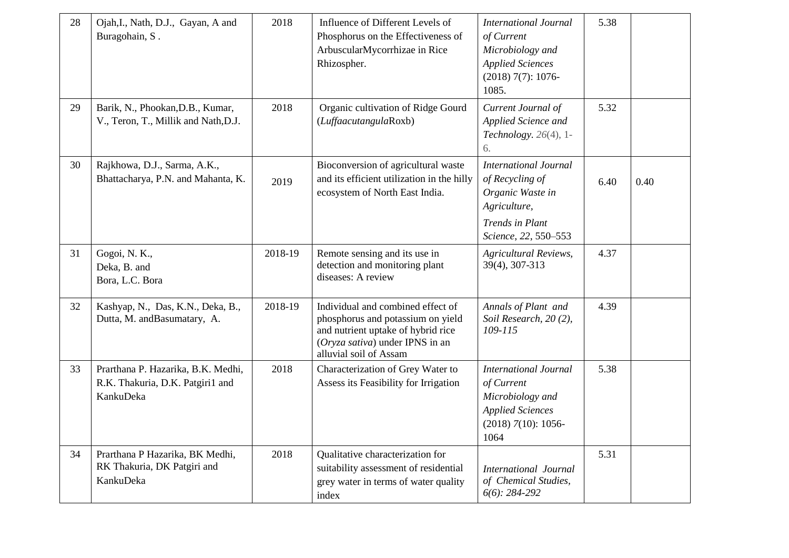| 28 | Ojah, I., Nath, D.J., Gayan, A and<br>Buragohain, S.                                | 2018    | Influence of Different Levels of<br>Phosphorus on the Effectiveness of<br>ArbuscularMycorrhizae in Rice<br>Rhizospher.                                                    | <b>International Journal</b><br>of Current<br>Microbiology and<br><b>Applied Sciences</b><br>$(2018) 7(7): 1076-$<br>1085.            | 5.38 |      |
|----|-------------------------------------------------------------------------------------|---------|---------------------------------------------------------------------------------------------------------------------------------------------------------------------------|---------------------------------------------------------------------------------------------------------------------------------------|------|------|
| 29 | Barik, N., Phookan, D.B., Kumar,<br>V., Teron, T., Millik and Nath, D.J.            | 2018    | Organic cultivation of Ridge Gourd<br>(LuffaacutangulaRoxb)                                                                                                               | Current Journal of<br>Applied Science and<br>Technology. $26(4)$ , 1-<br>6.                                                           | 5.32 |      |
| 30 | Rajkhowa, D.J., Sarma, A.K.,<br>Bhattacharya, P.N. and Mahanta, K.                  | 2019    | Bioconversion of agricultural waste<br>and its efficient utilization in the hilly<br>ecosystem of North East India.                                                       | <b>International Journal</b><br>of Recycling of<br>Organic Waste in<br>Agriculture,<br><b>Trends</b> in Plant<br>Science, 22, 550-553 | 6.40 | 0.40 |
| 31 | Gogoi, N. K.,<br>Deka, B. and<br>Bora, L.C. Bora                                    | 2018-19 | Remote sensing and its use in<br>detection and monitoring plant<br>diseases: A review                                                                                     | <b>Agricultural Reviews,</b><br>39(4), 307-313                                                                                        | 4.37 |      |
| 32 | Kashyap, N., Das, K.N., Deka, B.,<br>Dutta, M. andBasumatary, A.                    | 2018-19 | Individual and combined effect of<br>phosphorus and potassium on yield<br>and nutrient uptake of hybrid rice<br>(Oryza sativa) under IPNS in an<br>alluvial soil of Assam | Annals of Plant and<br>Soil Research, 20(2),<br>109-115                                                                               | 4.39 |      |
| 33 | Prarthana P. Hazarika, B.K. Medhi,<br>R.K. Thakuria, D.K. Patgiri1 and<br>KankuDeka | 2018    | Characterization of Grey Water to<br>Assess its Feasibility for Irrigation                                                                                                | <b>International Journal</b><br>of Current<br>Microbiology and<br><b>Applied Sciences</b><br>$(2018)$ 7(10): 1056-<br>1064            | 5.38 |      |
| 34 | Prarthana P Hazarika, BK Medhi,<br>RK Thakuria, DK Patgiri and<br>KankuDeka         | 2018    | Qualitative characterization for<br>suitability assessment of residential<br>grey water in terms of water quality<br>index                                                | <b>International Journal</b><br>of Chemical Studies,<br>$6(6)$ : 284-292                                                              | 5.31 |      |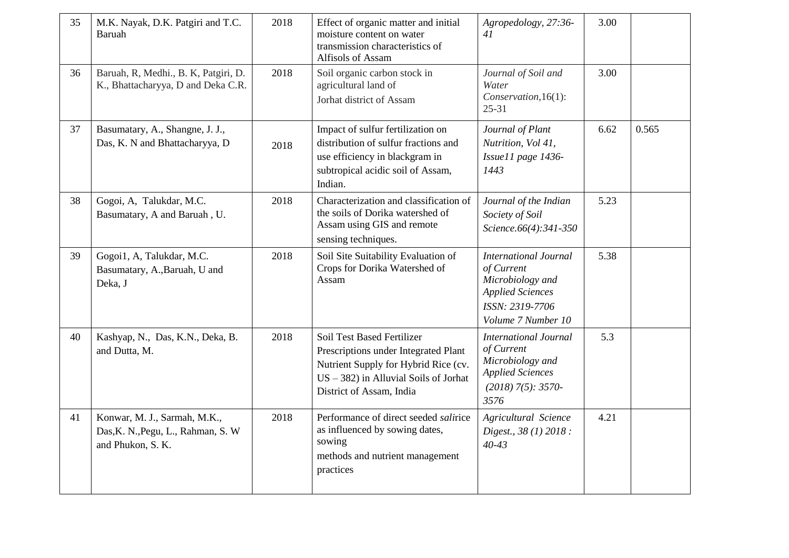| 35 | M.K. Nayak, D.K. Patgiri and T.C.<br>Baruah                                             | 2018 | Effect of organic matter and initial<br>moisture content on water<br>transmission characteristics of<br>Alfisols of Assam                                                                 | Agropedology, 27:36-<br>41                                                                                                         | 3.00 |       |
|----|-----------------------------------------------------------------------------------------|------|-------------------------------------------------------------------------------------------------------------------------------------------------------------------------------------------|------------------------------------------------------------------------------------------------------------------------------------|------|-------|
| 36 | Baruah, R, Medhi., B. K, Patgiri, D.<br>K., Bhattacharyya, D and Deka C.R.              | 2018 | Soil organic carbon stock in<br>agricultural land of<br>Jorhat district of Assam                                                                                                          | Journal of Soil and<br>Water<br>Conservation, 16(1):<br>$25 - 31$                                                                  | 3.00 |       |
| 37 | Basumatary, A., Shangne, J. J.,<br>Das, K. N and Bhattacharyya, D                       | 2018 | Impact of sulfur fertilization on<br>distribution of sulfur fractions and<br>use efficiency in blackgram in<br>subtropical acidic soil of Assam,<br>Indian.                               | Journal of Plant<br>Nutrition, Vol 41,<br>Issuel1 page 1436-<br>1443                                                               | 6.62 | 0.565 |
| 38 | Gogoi, A, Talukdar, M.C.<br>Basumatary, A and Baruah, U.                                | 2018 | Characterization and classification of<br>the soils of Dorika watershed of<br>Assam using GIS and remote<br>sensing techniques.                                                           | Journal of the Indian<br>Society of Soil<br>Science.66(4):341-350                                                                  | 5.23 |       |
| 39 | Gogoi1, A, Talukdar, M.C.<br>Basumatary, A., Baruah, U and<br>Deka, J                   | 2018 | Soil Site Suitability Evaluation of<br>Crops for Dorika Watershed of<br>Assam                                                                                                             | <b>International Journal</b><br>of Current<br>Microbiology and<br><b>Applied Sciences</b><br>ISSN: 2319-7706<br>Volume 7 Number 10 | 5.38 |       |
| 40 | Kashyap, N., Das, K.N., Deka, B.<br>and Dutta, M.                                       | 2018 | <b>Soil Test Based Fertilizer</b><br>Prescriptions under Integrated Plant<br>Nutrient Supply for Hybrid Rice (cv.<br>$US - 382$ ) in Alluvial Soils of Jorhat<br>District of Assam, India | <b>International Journal</b><br>of Current<br>Microbiology and<br><b>Applied Sciences</b><br>$(2018)$ 7(5): 3570-<br>3576          | 5.3  |       |
| 41 | Konwar, M. J., Sarmah, M.K.,<br>Das, K. N., Pegu, L., Rahman, S. W<br>and Phukon, S. K. | 2018 | Performance of direct seeded salirice<br>as influenced by sowing dates,<br>sowing<br>methods and nutrient management<br>practices                                                         | Agricultural Science<br>Digest., 38 (1) 2018 :<br>$40 - 43$                                                                        | 4.21 |       |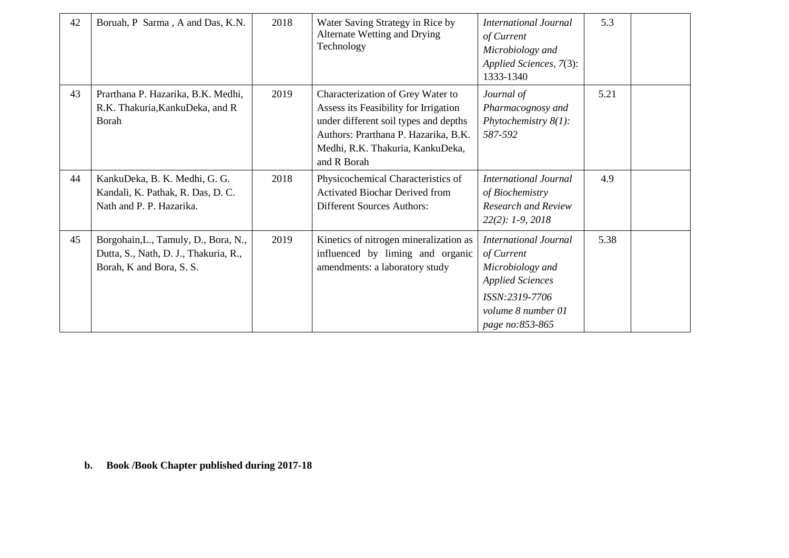| 42 | Boruah, P Sarma, A and Das, K.N.                                                                          | 2018 | Water Saving Strategy in Rice by<br>Alternate Wetting and Drying<br>Technology                                                                                                                                 | <b>International Journal</b><br>of Current<br>Microbiology and<br>Applied Sciences, 7(3):<br>1333-1340                                               | 5.3  |  |
|----|-----------------------------------------------------------------------------------------------------------|------|----------------------------------------------------------------------------------------------------------------------------------------------------------------------------------------------------------------|------------------------------------------------------------------------------------------------------------------------------------------------------|------|--|
| 43 | Prarthana P. Hazarika, B.K. Medhi,<br>R.K. Thakuria, Kanku Deka, and R<br>Borah                           | 2019 | Characterization of Grey Water to<br>Assess its Feasibility for Irrigation<br>under different soil types and depths<br>Authors: Prarthana P. Hazarika, B.K.<br>Medhi, R.K. Thakuria, KankuDeka,<br>and R Borah | Journal of<br>Pharmacognosy and<br>Phytochemistry $8(1)$ :<br>587-592                                                                                | 5.21 |  |
| 44 | KankuDeka, B. K. Medhi, G. G.<br>Kandali, K. Pathak, R. Das, D. C.<br>Nath and P. P. Hazarika.            | 2018 | Physicochemical Characteristics of<br><b>Activated Biochar Derived from</b><br><b>Different Sources Authors:</b>                                                                                               | International Journal<br>of Biochemistry<br><b>Research and Review</b><br>$22(2): 1-9, 2018$                                                         | 4.9  |  |
| 45 | Borgohain, L., Tamuly, D., Bora, N.,<br>Dutta, S., Nath, D. J., Thakuria, R.,<br>Borah, K and Bora, S. S. | 2019 | Kinetics of nitrogen mineralization as<br>influenced by liming and organic<br>amendments: a laboratory study                                                                                                   | <b>International Journal</b><br>of Current<br>Microbiology and<br><b>Applied Sciences</b><br>ISSN:2319-7706<br>volume 8 number 01<br>page no:853-865 | 5.38 |  |

**b. Book /Book Chapter published during 2017-18**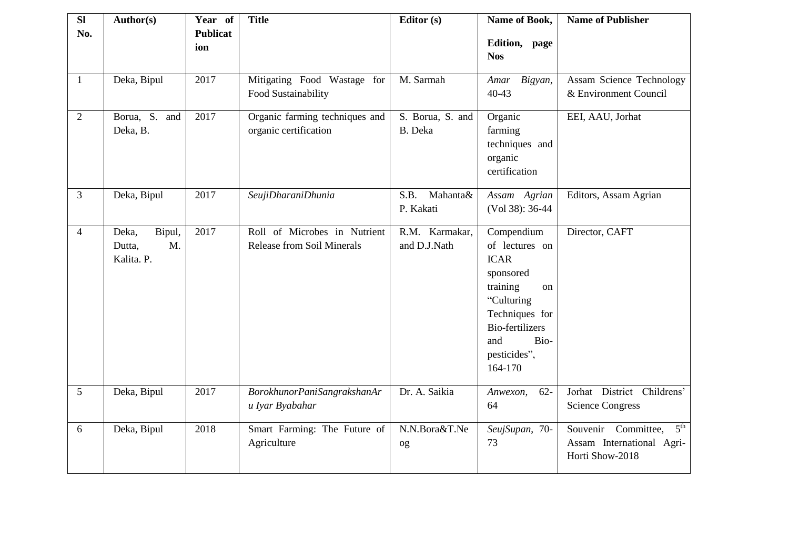| <b>SI</b><br>No. | Author(s)                                     | Year of<br><b>Publicat</b><br>ion | <b>Title</b>                                                      | Editor (s)                     | Name of Book,<br>Edition, page<br><b>Nos</b>                                                                                                                                   | <b>Name of Publisher</b>                                                               |
|------------------|-----------------------------------------------|-----------------------------------|-------------------------------------------------------------------|--------------------------------|--------------------------------------------------------------------------------------------------------------------------------------------------------------------------------|----------------------------------------------------------------------------------------|
| $\mathbf{1}$     | Deka, Bipul                                   | 2017                              | Mitigating Food Wastage for<br>Food Sustainability                | M. Sarmah                      | Amar Bigyan,<br>$40 - 43$                                                                                                                                                      | Assam Science Technology<br>& Environment Council                                      |
| $\overline{2}$   | Borua, S. and<br>Deka, B.                     | 2017                              | Organic farming techniques and<br>organic certification           | S. Borua, S. and<br>B. Deka    | Organic<br>farming<br>techniques and<br>organic<br>certification                                                                                                               | EEI, AAU, Jorhat                                                                       |
| 3                | Deka, Bipul                                   | 2017                              | SeujiDharaniDhunia                                                | Mahanta&<br>S.B.<br>P. Kakati  | Assam Agrian<br>(Vol 38): 36-44                                                                                                                                                | Editors, Assam Agrian                                                                  |
| $\overline{4}$   | Bipul,<br>Deka,<br>M.<br>Dutta,<br>Kalita. P. | 2017                              | Roll of Microbes in Nutrient<br><b>Release from Soil Minerals</b> | R.M. Karmakar,<br>and D.J.Nath | Compendium<br>of lectures on<br><b>ICAR</b><br>sponsored<br>training<br>on<br>"Culturing<br>Techniques for<br><b>Bio-fertilizers</b><br>Bio-<br>and<br>pesticides",<br>164-170 | Director, CAFT                                                                         |
| 5                | Deka, Bipul                                   | 2017                              | BorokhunorPaniSangrakshanAr<br>u Iyar Byabahar                    | Dr. A. Saikia                  | $62 -$<br>Anwexon,<br>64                                                                                                                                                       | Jorhat District Childrens'<br><b>Science Congress</b>                                  |
| 6                | Deka, Bipul                                   | 2018                              | Smart Farming: The Future of<br>Agriculture                       | N.N.Bora&T.Ne<br>og            | SeujSupan, 70-<br>73                                                                                                                                                           | 5 <sup>th</sup><br>Souvenir Committee,<br>Assam International Agri-<br>Horti Show-2018 |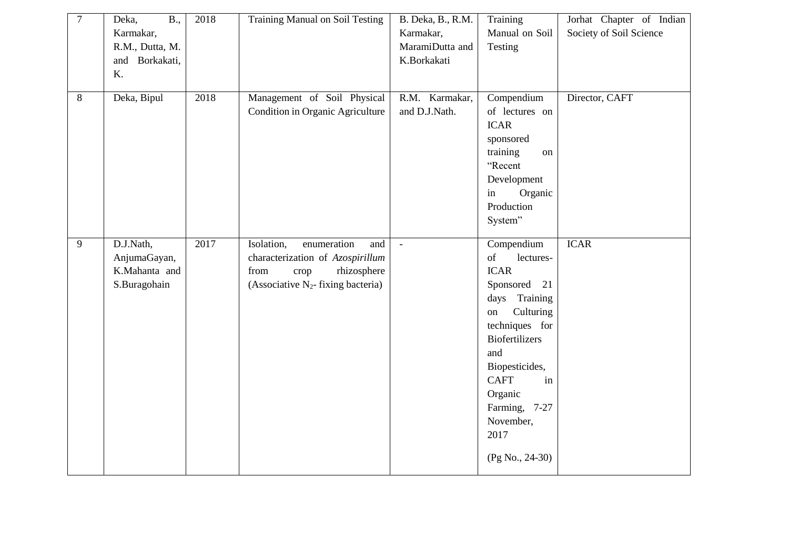| $\overline{7}$ | Deka,<br>B.,<br>Karmakar,<br>R.M., Dutta, M.<br>and Borkakati, | 2018 | <b>Training Manual on Soil Testing</b>                                                                                                       | B. Deka, B., R.M.<br>Karmakar,<br>MaramiDutta and<br>K.Borkakati | Training<br>Manual on Soil<br>Testing                                                                                                                                                                                                                            | Jorhat Chapter of Indian<br>Society of Soil Science |
|----------------|----------------------------------------------------------------|------|----------------------------------------------------------------------------------------------------------------------------------------------|------------------------------------------------------------------|------------------------------------------------------------------------------------------------------------------------------------------------------------------------------------------------------------------------------------------------------------------|-----------------------------------------------------|
|                | K.                                                             |      |                                                                                                                                              |                                                                  |                                                                                                                                                                                                                                                                  |                                                     |
| 8              | Deka, Bipul                                                    | 2018 | Management of Soil Physical<br>Condition in Organic Agriculture                                                                              | R.M. Karmakar,<br>and D.J.Nath.                                  | Compendium<br>of lectures on<br><b>ICAR</b><br>sponsored<br>training<br>on<br>"Recent<br>Development<br>Organic<br>in<br>Production<br>System"                                                                                                                   | Director, CAFT                                      |
| $\overline{9}$ | D.J.Nath,<br>AnjumaGayan,<br>K.Mahanta and<br>S.Buragohain     | 2017 | Isolation,<br>enumeration<br>and<br>characterization of Azospirillum<br>from<br>rhizosphere<br>crop<br>(Associative $N_2$ - fixing bacteria) | $\mathbf{r}$                                                     | Compendium<br>of<br>lectures-<br><b>ICAR</b><br>Sponsored 21<br>Training<br>days<br>Culturing<br>on<br>techniques for<br><b>Biofertilizers</b><br>and<br>Biopesticides,<br><b>CAFT</b><br>in<br>Organic<br>Farming, 7-27<br>November,<br>2017<br>(Pg No., 24-30) | <b>ICAR</b>                                         |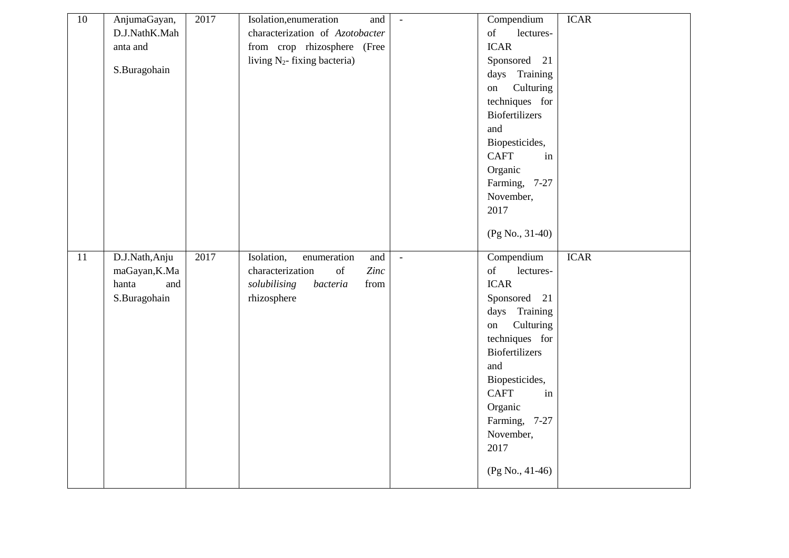| $10\,$ | AnjumaGayan,   | 2017 | Isolation, enumeration<br>and                                                                                                  | $\mathbf{r}$  | Compendium                                                                                                      | <b>ICAR</b> |
|--------|----------------|------|--------------------------------------------------------------------------------------------------------------------------------|---------------|-----------------------------------------------------------------------------------------------------------------|-------------|
|        | D.J.NathK.Mah  |      | characterization of Azotobacter                                                                                                |               | $% \overline{a}$ of<br>lectures-                                                                                |             |
|        | anta and       |      | from crop rhizosphere (Free                                                                                                    |               | <b>ICAR</b>                                                                                                     |             |
|        |                |      | living $N_2$ - fixing bacteria)                                                                                                |               | Sponsored 21                                                                                                    |             |
|        | S.Buragohain   |      |                                                                                                                                |               | days Training                                                                                                   |             |
|        |                |      |                                                                                                                                |               | Culturing<br>on                                                                                                 |             |
|        |                |      |                                                                                                                                |               | techniques for                                                                                                  |             |
|        |                |      |                                                                                                                                |               | <b>Biofertilizers</b>                                                                                           |             |
|        |                |      |                                                                                                                                |               | and                                                                                                             |             |
|        |                |      |                                                                                                                                |               | Biopesticides,                                                                                                  |             |
|        |                |      |                                                                                                                                |               | <b>CAFT</b><br>in                                                                                               |             |
|        |                |      |                                                                                                                                |               | Organic                                                                                                         |             |
|        |                |      |                                                                                                                                |               | Farming, 7-27                                                                                                   |             |
|        |                |      |                                                                                                                                |               | November,                                                                                                       |             |
|        |                |      |                                                                                                                                |               | 2017                                                                                                            |             |
|        |                |      |                                                                                                                                |               | $(Pg No., 31-40)$                                                                                               |             |
|        |                |      |                                                                                                                                |               |                                                                                                                 |             |
|        |                |      |                                                                                                                                |               |                                                                                                                 |             |
| 11     | D.J.Nath, Anju | 2017 | Isolation,<br>enumeration<br>and                                                                                               | $\mathcal{L}$ | Compendium                                                                                                      | <b>ICAR</b> |
|        | maGayan, K.Ma  |      | characterization<br>$% \left( \left( \mathcal{A},\mathcal{A}\right) \right) =\left( \mathcal{A},\mathcal{A}\right)$ of<br>Zinc |               | $% \left( \left( \mathcal{A},\mathcal{A}\right) \right) =\left( \mathcal{A},\mathcal{A}\right)$ of<br>lectures- |             |
|        | hanta<br>and   |      | solubilising<br>from<br>bacteria                                                                                               |               | <b>ICAR</b>                                                                                                     |             |
|        | S.Buragohain   |      | rhizosphere                                                                                                                    |               | Sponsored 21                                                                                                    |             |
|        |                |      |                                                                                                                                |               | days Training                                                                                                   |             |
|        |                |      |                                                                                                                                |               | Culturing<br>on                                                                                                 |             |
|        |                |      |                                                                                                                                |               | techniques for                                                                                                  |             |
|        |                |      |                                                                                                                                |               | <b>Biofertilizers</b>                                                                                           |             |
|        |                |      |                                                                                                                                |               | and                                                                                                             |             |
|        |                |      |                                                                                                                                |               | Biopesticides,                                                                                                  |             |
|        |                |      |                                                                                                                                |               | <b>CAFT</b><br>in                                                                                               |             |
|        |                |      |                                                                                                                                |               | Organic                                                                                                         |             |
|        |                |      |                                                                                                                                |               | Farming, 7-27                                                                                                   |             |
|        |                |      |                                                                                                                                |               | November,                                                                                                       |             |
|        |                |      |                                                                                                                                |               | 2017                                                                                                            |             |
|        |                |      |                                                                                                                                |               | $(Pg No., 41-46)$                                                                                               |             |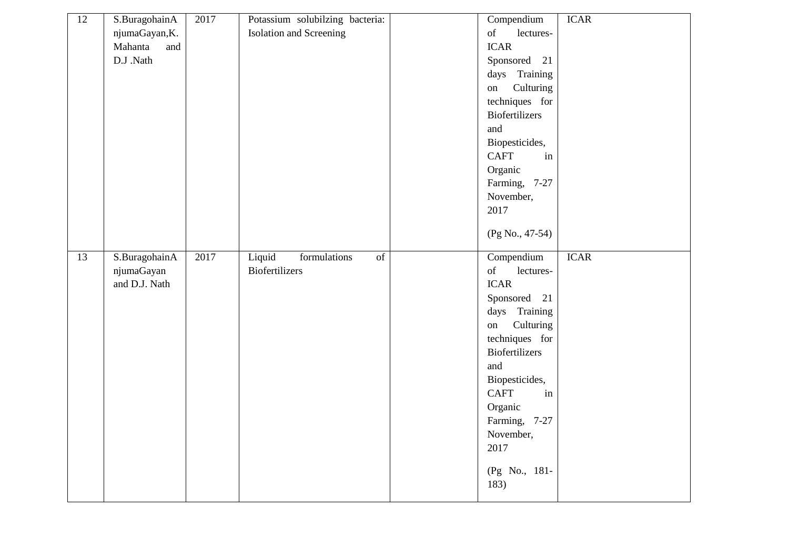| 12              | S.BuragohainA<br>njumaGayan, K.<br>Mahanta<br>and<br>D.J .Nath | 2017 | Potassium solubilzing bacteria:<br><b>Isolation and Screening</b>         | Compendium<br>$% \left( \left( \mathcal{A},\mathcal{A}\right) \right) =\left( \mathcal{A},\mathcal{A}\right)$ of<br>lectures-<br><b>ICAR</b><br>Sponsored<br>21<br>days Training<br>Culturing<br>on<br>techniques for<br>Biofertilizers                                                                                                                      | <b>ICAR</b> |
|-----------------|----------------------------------------------------------------|------|---------------------------------------------------------------------------|--------------------------------------------------------------------------------------------------------------------------------------------------------------------------------------------------------------------------------------------------------------------------------------------------------------------------------------------------------------|-------------|
|                 |                                                                |      |                                                                           | and<br>Biopesticides,<br><b>CAFT</b><br>in<br>Organic<br>Farming, 7-27<br>November,<br>2017<br>(Pg No., 47-54)                                                                                                                                                                                                                                               |             |
| $\overline{13}$ | S.BuragohainA<br>njumaGayan<br>and D.J. Nath                   | 2017 | Liquid<br>formulations<br>$\overline{\text{of}}$<br><b>Biofertilizers</b> | Compendium<br>$% \left( \left( \mathcal{A},\mathcal{A}\right) \right) =\left( \mathcal{A},\mathcal{A}\right)$ of<br>lectures-<br><b>ICAR</b><br>Sponsored 21<br>days Training<br>Culturing<br>on<br>techniques for<br>Biofertilizers<br>and<br>Biopesticides,<br><b>CAFT</b><br>in<br>Organic<br>Farming, 7-27<br>November,<br>2017<br>(Pg No., 181-<br>183) | <b>ICAR</b> |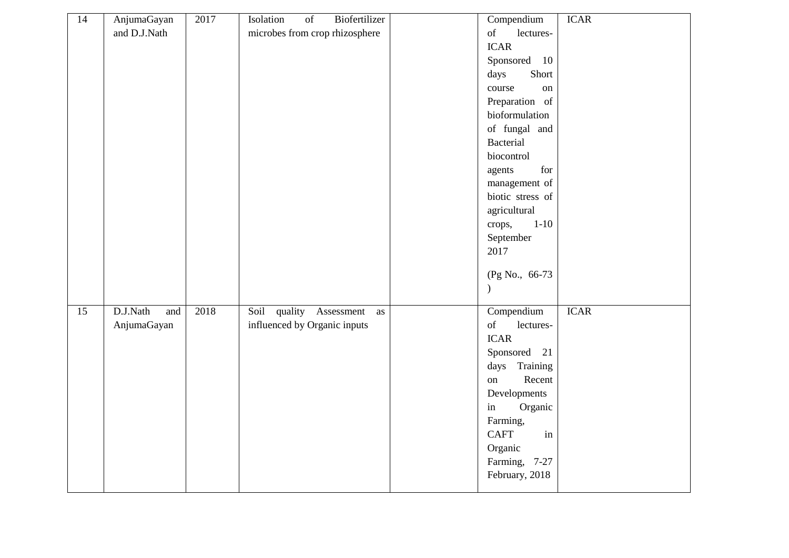| 14              | AnjumaGayan     | 2017 | Biofertilizer<br>Isolation<br>$\sigma f$ | Compendium                     | <b>ICAR</b> |
|-----------------|-----------------|------|------------------------------------------|--------------------------------|-------------|
|                 | and D.J.Nath    |      | microbes from crop rhizosphere           | lectures-<br>of                |             |
|                 |                 |      |                                          | <b>ICAR</b>                    |             |
|                 |                 |      |                                          | Sponsored 10                   |             |
|                 |                 |      |                                          | Short<br>days                  |             |
|                 |                 |      |                                          | course<br>on                   |             |
|                 |                 |      |                                          | Preparation of                 |             |
|                 |                 |      |                                          | bioformulation                 |             |
|                 |                 |      |                                          | of fungal and                  |             |
|                 |                 |      |                                          | <b>Bacterial</b>               |             |
|                 |                 |      |                                          | biocontrol                     |             |
|                 |                 |      |                                          | for<br>agents                  |             |
|                 |                 |      |                                          | management of                  |             |
|                 |                 |      |                                          | biotic stress of               |             |
|                 |                 |      |                                          | agricultural                   |             |
|                 |                 |      |                                          | $1 - 10$<br>crops,             |             |
|                 |                 |      |                                          | September                      |             |
|                 |                 |      |                                          | 2017                           |             |
|                 |                 |      |                                          |                                |             |
|                 |                 |      |                                          | (Pg No., 66-73)                |             |
|                 |                 |      |                                          | $\mathcal{E}$                  |             |
| $\overline{15}$ | D.J.Nath<br>and | 2018 | Soil quality Assessment<br>as            | Compendium                     | <b>ICAR</b> |
|                 | AnjumaGayan     |      | influenced by Organic inputs             | of<br>lectures-                |             |
|                 |                 |      |                                          | <b>ICAR</b>                    |             |
|                 |                 |      |                                          | Sponsored 21                   |             |
|                 |                 |      |                                          | Training<br>days               |             |
|                 |                 |      |                                          | Recent<br>on                   |             |
|                 |                 |      |                                          | Developments                   |             |
|                 |                 |      |                                          | $\operatorname{in}$<br>Organic |             |
|                 |                 |      |                                          | Farming,                       |             |
|                 |                 |      |                                          | <b>CAFT</b><br>in              |             |
|                 |                 |      |                                          | Organic                        |             |
|                 |                 |      |                                          | Farming, 7-27                  |             |
|                 |                 |      |                                          | February, 2018                 |             |
|                 |                 |      |                                          |                                |             |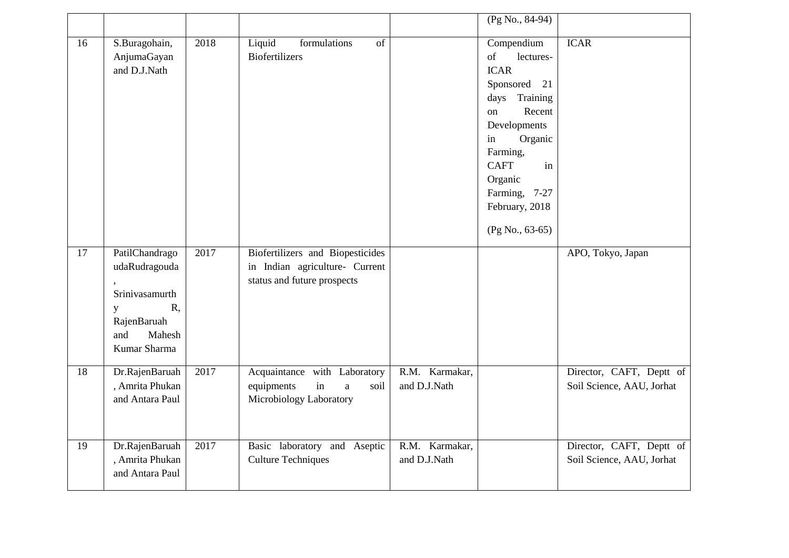|    |                                                                                                              |      |                                                                                                   |                                | (Pg No., 84-94)                                                                                                                                                                                                                       |                                                       |
|----|--------------------------------------------------------------------------------------------------------------|------|---------------------------------------------------------------------------------------------------|--------------------------------|---------------------------------------------------------------------------------------------------------------------------------------------------------------------------------------------------------------------------------------|-------------------------------------------------------|
| 16 | S.Buragohain,<br>AnjumaGayan<br>and D.J.Nath                                                                 | 2018 | Liquid<br>of<br>formulations<br><b>Biofertilizers</b>                                             |                                | Compendium<br>of<br>lectures-<br><b>ICAR</b><br>Sponsored 21<br>Training<br>days<br>Recent<br>on<br>Developments<br>Organic<br>in<br>Farming,<br><b>CAFT</b><br>in<br>Organic<br>Farming, 7-27<br>February, 2018<br>$(Pg No., 63-65)$ | <b>ICAR</b>                                           |
| 17 | PatilChandrago<br>udaRudragouda<br>Srinivasamurth<br>R,<br>y<br>RajenBaruah<br>Mahesh<br>and<br>Kumar Sharma | 2017 | Biofertilizers and Biopesticides<br>in Indian agriculture- Current<br>status and future prospects |                                |                                                                                                                                                                                                                                       | APO, Tokyo, Japan                                     |
| 18 | Dr.RajenBaruah<br>, Amrita Phukan<br>and Antara Paul                                                         | 2017 | Acquaintance with Laboratory<br>equipments<br>in<br>soil<br>$\rm{a}$<br>Microbiology Laboratory   | R.M. Karmakar,<br>and D.J.Nath |                                                                                                                                                                                                                                       | Director, CAFT, Deptt of<br>Soil Science, AAU, Jorhat |
| 19 | Dr.RajenBaruah<br>, Amrita Phukan<br>and Antara Paul                                                         | 2017 | Basic laboratory and Aseptic<br><b>Culture Techniques</b>                                         | R.M. Karmakar,<br>and D.J.Nath |                                                                                                                                                                                                                                       | Director, CAFT, Deptt of<br>Soil Science, AAU, Jorhat |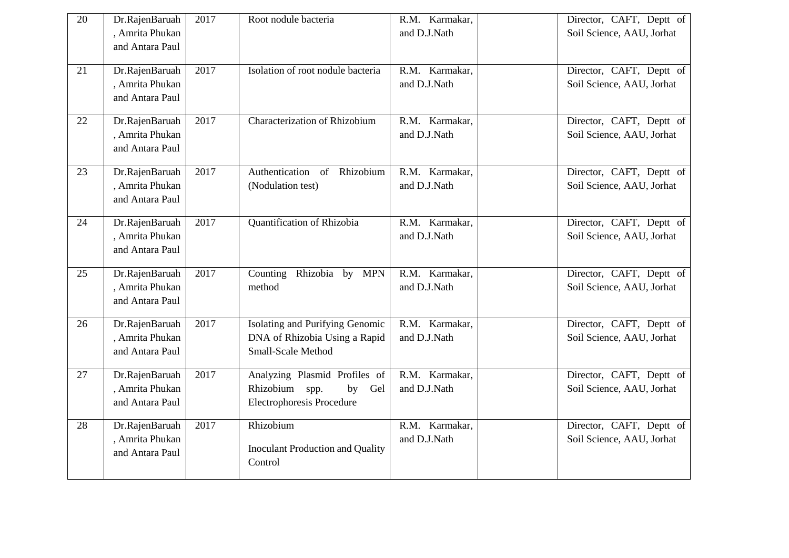| 20 | Dr.RajenBaruah<br>, Amrita Phukan<br>and Antara Paul | 2017 | Root nodule bacteria                                                                          | R.M. Karmakar,<br>and D.J.Nath | Director, CAFT, Deptt of<br>Soil Science, AAU, Jorhat |
|----|------------------------------------------------------|------|-----------------------------------------------------------------------------------------------|--------------------------------|-------------------------------------------------------|
| 21 | Dr.RajenBaruah<br>, Amrita Phukan<br>and Antara Paul | 2017 | Isolation of root nodule bacteria                                                             | R.M. Karmakar,<br>and D.J.Nath | Director, CAFT, Deptt of<br>Soil Science, AAU, Jorhat |
| 22 | Dr.RajenBaruah<br>, Amrita Phukan<br>and Antara Paul | 2017 | Characterization of Rhizobium                                                                 | R.M. Karmakar,<br>and D.J.Nath | Director, CAFT, Deptt of<br>Soil Science, AAU, Jorhat |
| 23 | Dr.RajenBaruah<br>, Amrita Phukan<br>and Antara Paul | 2017 | Authentication<br>Rhizobium<br>of<br>(Nodulation test)                                        | R.M. Karmakar,<br>and D.J.Nath | Director, CAFT, Deptt of<br>Soil Science, AAU, Jorhat |
| 24 | Dr.RajenBaruah<br>, Amrita Phukan<br>and Antara Paul | 2017 | Quantification of Rhizobia                                                                    | R.M. Karmakar,<br>and D.J.Nath | Director, CAFT, Deptt of<br>Soil Science, AAU, Jorhat |
| 25 | Dr.RajenBaruah<br>, Amrita Phukan<br>and Antara Paul | 2017 | Counting Rhizobia by MPN<br>method                                                            | R.M. Karmakar,<br>and D.J.Nath | Director, CAFT, Deptt of<br>Soil Science, AAU, Jorhat |
| 26 | Dr.RajenBaruah<br>, Amrita Phukan<br>and Antara Paul | 2017 | Isolating and Purifying Genomic<br>DNA of Rhizobia Using a Rapid<br><b>Small-Scale Method</b> | R.M. Karmakar,<br>and D.J.Nath | Director, CAFT, Deptt of<br>Soil Science, AAU, Jorhat |
| 27 | Dr.RajenBaruah<br>, Amrita Phukan<br>and Antara Paul | 2017 | Analyzing Plasmid Profiles of<br>Rhizobium<br>spp.<br>by<br>Gel<br>Electrophoresis Procedure  | R.M. Karmakar,<br>and D.J.Nath | Director, CAFT, Deptt of<br>Soil Science, AAU, Jorhat |
| 28 | Dr.RajenBaruah<br>, Amrita Phukan<br>and Antara Paul | 2017 | Rhizobium<br><b>Inoculant Production and Quality</b><br>Control                               | R.M. Karmakar,<br>and D.J.Nath | Director, CAFT, Deptt of<br>Soil Science, AAU, Jorhat |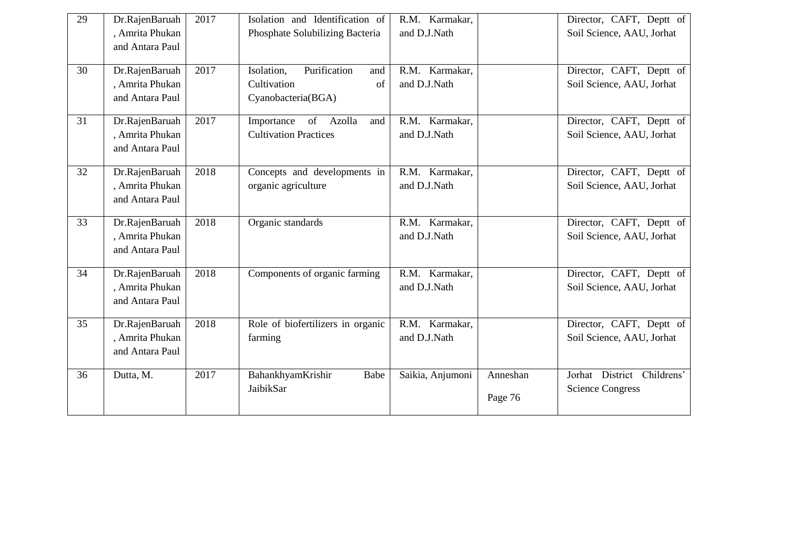| 29              | Dr.RajenBaruah<br>, Amrita Phukan<br>and Antara Paul | 2017 | Isolation and Identification of<br>Phosphate Solubilizing Bacteria           | R.M. Karmakar,<br>and D.J.Nath |                     | Director, CAFT, Deptt of<br>Soil Science, AAU, Jorhat |
|-----------------|------------------------------------------------------|------|------------------------------------------------------------------------------|--------------------------------|---------------------|-------------------------------------------------------|
| 30              | Dr.RajenBaruah<br>, Amrita Phukan<br>and Antara Paul | 2017 | Purification<br>Isolation,<br>and<br>Cultivation<br>of<br>Cyanobacteria(BGA) | R.M. Karmakar,<br>and D.J.Nath |                     | Director, CAFT, Deptt of<br>Soil Science, AAU, Jorhat |
| 31              | Dr.RajenBaruah<br>, Amrita Phukan<br>and Antara Paul | 2017 | of Azolla<br>Importance<br>and<br><b>Cultivation Practices</b>               | R.M. Karmakar,<br>and D.J.Nath |                     | Director, CAFT, Deptt of<br>Soil Science, AAU, Jorhat |
| $\overline{32}$ | Dr.RajenBaruah<br>, Amrita Phukan<br>and Antara Paul | 2018 | Concepts and developments in<br>organic agriculture                          | R.M. Karmakar,<br>and D.J.Nath |                     | Director, CAFT, Deptt of<br>Soil Science, AAU, Jorhat |
| 33              | Dr.RajenBaruah<br>, Amrita Phukan<br>and Antara Paul | 2018 | Organic standards                                                            | R.M. Karmakar,<br>and D.J.Nath |                     | Director, CAFT, Deptt of<br>Soil Science, AAU, Jorhat |
| 34              | Dr.RajenBaruah<br>, Amrita Phukan<br>and Antara Paul | 2018 | Components of organic farming                                                | R.M. Karmakar,<br>and D.J.Nath |                     | Director, CAFT, Deptt of<br>Soil Science, AAU, Jorhat |
| 35              | Dr.RajenBaruah<br>, Amrita Phukan<br>and Antara Paul | 2018 | Role of biofertilizers in organic<br>farming                                 | R.M. Karmakar,<br>and D.J.Nath |                     | Director, CAFT, Deptt of<br>Soil Science, AAU, Jorhat |
| 36              | Dutta, M.                                            | 2017 | BahankhyamKrishir<br>Babe<br>JaibikSar                                       | Saikia, Anjumoni               | Anneshan<br>Page 76 | Jorhat District Childrens'<br><b>Science Congress</b> |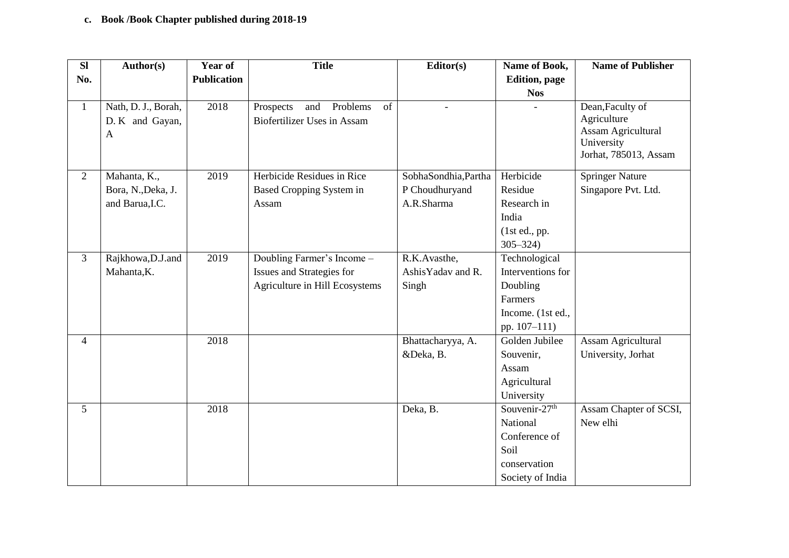## **c. Book /Book Chapter published during 2018-19**

| <b>SI</b>      | Author(s)           | <b>Year of</b>     | <b>Title</b>                       | Editor(s)            | Name of Book,             | <b>Name of Publisher</b>                |
|----------------|---------------------|--------------------|------------------------------------|----------------------|---------------------------|-----------------------------------------|
| No.            |                     | <b>Publication</b> |                                    |                      | <b>Edition</b> , page     |                                         |
|                |                     |                    |                                    |                      | <b>Nos</b>                |                                         |
| $\mathbf{1}$   | Nath, D. J., Borah, | 2018               | Problems<br>of<br>Prospects<br>and |                      |                           | Dean, Faculty of                        |
|                | D. K and Gayan,     |                    | <b>Biofertilizer Uses in Assam</b> |                      |                           | Agriculture                             |
|                | $\mathbf{A}$        |                    |                                    |                      |                           | <b>Assam Agricultural</b><br>University |
|                |                     |                    |                                    |                      |                           | Jorhat, 785013, Assam                   |
|                |                     |                    |                                    |                      |                           |                                         |
| $\overline{2}$ | Mahanta, K.,        | 2019               | Herbicide Residues in Rice         | SobhaSondhia, Partha | Herbicide                 | <b>Springer Nature</b>                  |
|                | Bora, N., Deka, J.  |                    | <b>Based Cropping System in</b>    | P Choudhuryand       | Residue                   | Singapore Pvt. Ltd.                     |
|                | and Barua, I.C.     |                    | Assam                              | A.R.Sharma           | Research in               |                                         |
|                |                     |                    |                                    |                      | India                     |                                         |
|                |                     |                    |                                    |                      | (1st ed., pp.             |                                         |
|                |                     |                    |                                    |                      | $305 - 324$               |                                         |
| $\overline{3}$ | Rajkhowa, D.J.and   | 2019               | Doubling Farmer's Income -         | R.K.Avasthe,         | Technological             |                                         |
|                | Mahanta, K.         |                    | Issues and Strategies for          | Ashis Yadav and R.   | Interventions for         |                                         |
|                |                     |                    | Agriculture in Hill Ecosystems     | Singh                | Doubling                  |                                         |
|                |                     |                    |                                    |                      | Farmers                   |                                         |
|                |                     |                    |                                    |                      | Income. (1st ed.,         |                                         |
|                |                     |                    |                                    |                      | pp. 107-111)              |                                         |
| $\overline{4}$ |                     | 2018               |                                    | Bhattacharyya, A.    | Golden Jubilee            | <b>Assam Agricultural</b>               |
|                |                     |                    |                                    | &Deka, B.            | Souvenir,                 | University, Jorhat                      |
|                |                     |                    |                                    |                      | Assam                     |                                         |
|                |                     |                    |                                    |                      | Agricultural              |                                         |
|                |                     |                    |                                    |                      | University                |                                         |
| 5              |                     | 2018               |                                    | Deka, B.             | Souvenir-27 <sup>th</sup> | Assam Chapter of SCSI,                  |
|                |                     |                    |                                    |                      | National                  | New elhi                                |
|                |                     |                    |                                    |                      | Conference of             |                                         |
|                |                     |                    |                                    |                      | Soil                      |                                         |
|                |                     |                    |                                    |                      | conservation              |                                         |
|                |                     |                    |                                    |                      | Society of India          |                                         |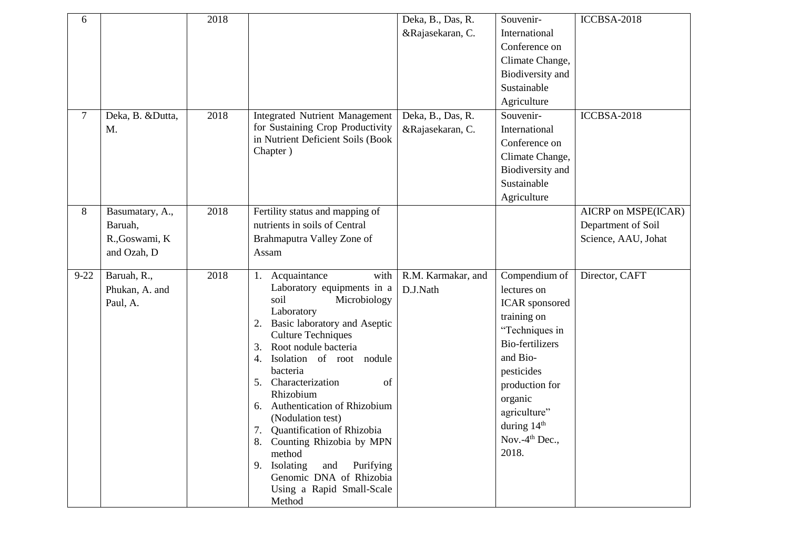| 6        |                                                             | 2018 |                                                                                                                                                                                                                                                                                                                                                                                                                                                                                                                                         | Deka, B., Das, R.<br>&Rajasekaran, C. | Souvenir-<br>International<br>Conference on<br>Climate Change,<br>Biodiversity and<br>Sustainable<br>Agriculture                                                                                                                          | ICCBSA-2018                                                      |
|----------|-------------------------------------------------------------|------|-----------------------------------------------------------------------------------------------------------------------------------------------------------------------------------------------------------------------------------------------------------------------------------------------------------------------------------------------------------------------------------------------------------------------------------------------------------------------------------------------------------------------------------------|---------------------------------------|-------------------------------------------------------------------------------------------------------------------------------------------------------------------------------------------------------------------------------------------|------------------------------------------------------------------|
| $\tau$   | Deka, B. &Dutta,<br>M.                                      | 2018 | <b>Integrated Nutrient Management</b><br>for Sustaining Crop Productivity<br>in Nutrient Deficient Soils (Book<br>Chapter)                                                                                                                                                                                                                                                                                                                                                                                                              | Deka, B., Das, R.<br>&Rajasekaran, C. | Souvenir-<br>International<br>Conference on<br>Climate Change,<br>Biodiversity and<br>Sustainable<br>Agriculture                                                                                                                          | ICCBSA-2018                                                      |
| 8        | Basumatary, A.,<br>Baruah,<br>R., Goswami, K<br>and Ozah, D | 2018 | Fertility status and mapping of<br>nutrients in soils of Central<br>Brahmaputra Valley Zone of<br>Assam                                                                                                                                                                                                                                                                                                                                                                                                                                 |                                       |                                                                                                                                                                                                                                           | AICRP on MSPE(ICAR)<br>Department of Soil<br>Science, AAU, Johat |
| $9 - 22$ | Baruah, R.,<br>Phukan, A. and<br>Paul, A.                   | 2018 | with<br>Acquaintance<br>1.<br>Laboratory equipments in a<br>soil<br>Microbiology<br>Laboratory<br>Basic laboratory and Aseptic<br>2.<br><b>Culture Techniques</b><br>Root nodule bacteria<br>3.<br>Isolation of root nodule<br>4.<br>bacteria<br>Characterization<br>5.<br>of<br>Rhizobium<br>Authentication of Rhizobium<br>6.<br>(Nodulation test)<br>7.<br>Quantification of Rhizobia<br>8. Counting Rhizobia by MPN<br>method<br>9. Isolating<br>Purifying<br>and<br>Genomic DNA of Rhizobia<br>Using a Rapid Small-Scale<br>Method | R.M. Karmakar, and<br>D.J.Nath        | Compendium of<br>lectures on<br>ICAR sponsored<br>training on<br>"Techniques in<br><b>Bio-fertilizers</b><br>and Bio-<br>pesticides<br>production for<br>organic<br>agriculture"<br>during 14 <sup>th</sup><br>Nov.- $4th$ Dec.,<br>2018. | Director, CAFT                                                   |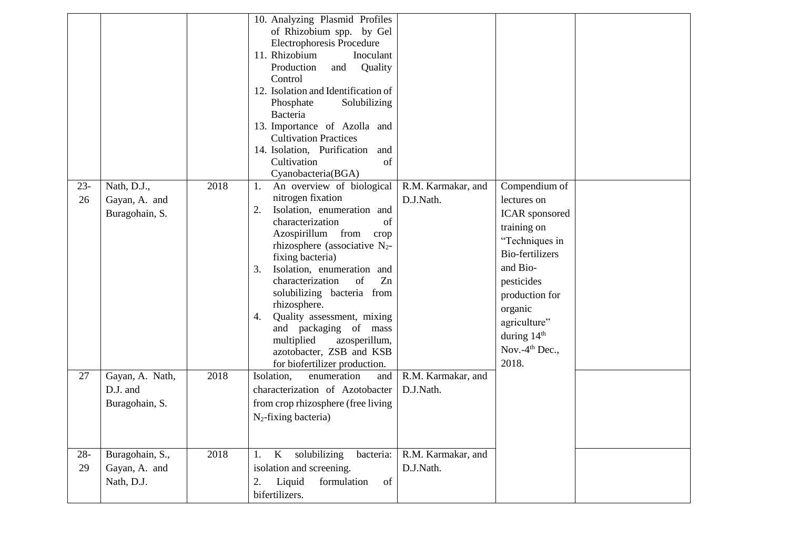|              |                                                |      | 10. Analyzing Plasmid Profiles<br>of Rhizobium spp. by Gel<br><b>Electrophoresis Procedure</b><br>11. Rhizobium<br>Inoculant<br>Production<br>Quality<br>and<br>Control<br>12. Isolation and Identification of<br>Phosphate<br>Solubilizing<br>Bacteria<br>13. Importance of Azolla and<br><b>Cultivation Practices</b><br>14. Isolation, Purification and<br>Cultivation<br>of<br>Cyanobacteria(BGA)                                                                              |                                 |                                                                                                                                                                                                                                                 |  |
|--------------|------------------------------------------------|------|------------------------------------------------------------------------------------------------------------------------------------------------------------------------------------------------------------------------------------------------------------------------------------------------------------------------------------------------------------------------------------------------------------------------------------------------------------------------------------|---------------------------------|-------------------------------------------------------------------------------------------------------------------------------------------------------------------------------------------------------------------------------------------------|--|
| $23 -$<br>26 | Nath, D.J.,<br>Gayan, A. and<br>Buragohain, S. | 2018 | An overview of biological<br>1.<br>nitrogen fixation<br>Isolation, enumeration and<br>2.<br>characterization<br>of<br>Azospirillum from<br>crop<br>rhizosphere (associative $N_2$ -<br>fixing bacteria)<br>3.<br>Isolation, enumeration and<br>characterization<br>of<br>Zn<br>solubilizing bacteria from<br>rhizosphere.<br>Quality assessment, mixing<br>4.<br>and packaging of mass<br>multiplied<br>azosperillum,<br>azotobacter, ZSB and KSB<br>for biofertilizer production. | R.M. Karmakar, and<br>D.J.Nath. | Compendium of<br>lectures on<br><b>ICAR</b> sponsored<br>training on<br>"Techniques in<br><b>Bio-fertilizers</b><br>and Bio-<br>pesticides<br>production for<br>organic<br>agriculture"<br>during $14th$<br>Nov.-4 <sup>th</sup> Dec.,<br>2018. |  |
| 27           | Gayan, A. Nath,<br>D.J. and<br>Buragohain, S.  | 2018 | Isolation.<br>enumeration<br>and<br>characterization of Azotobacter<br>from crop rhizosphere (free living<br>$N_2$ -fixing bacteria)                                                                                                                                                                                                                                                                                                                                               | R.M. Karmakar, and<br>D.J.Nath. |                                                                                                                                                                                                                                                 |  |
| $28 -$<br>29 | Buragohain, S.,<br>Gayan, A. and<br>Nath, D.J. | 2018 | solubilizing<br>K<br>bacteria:<br>1.<br>isolation and screening.<br>2.<br>Liquid<br>formulation<br>of<br>bifertilizers.                                                                                                                                                                                                                                                                                                                                                            | R.M. Karmakar, and<br>D.J.Nath. |                                                                                                                                                                                                                                                 |  |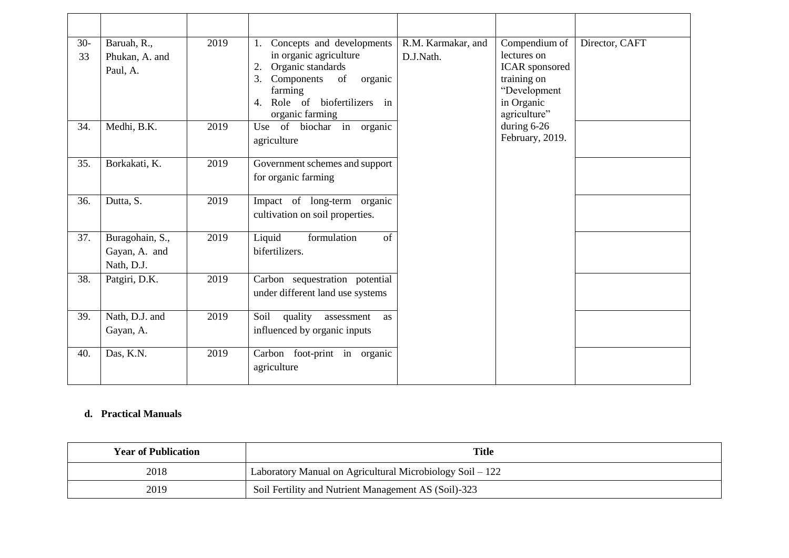| $30-$<br>33 | Baruah, R.,<br>Phukan, A. and<br>Paul, A.      | 2019 | Concepts and developments<br>1.<br>in organic agriculture<br>Organic standards<br>2.<br>3.<br>Components<br>of<br>organic<br>farming<br>Role of biofertilizers in<br>4.<br>organic farming | R.M. Karmakar, and<br>D.J.Nath. | Compendium of<br>lectures on<br><b>ICAR</b> sponsored<br>training on<br>"Development<br>in Organic<br>agriculture" | Director, CAFT |
|-------------|------------------------------------------------|------|--------------------------------------------------------------------------------------------------------------------------------------------------------------------------------------------|---------------------------------|--------------------------------------------------------------------------------------------------------------------|----------------|
| 34.         | Medhi, B.K.                                    | 2019 | Use of biochar in organic<br>agriculture                                                                                                                                                   |                                 | during $6-26$<br>February, 2019.                                                                                   |                |
| 35.         | Borkakati, K.                                  | 2019 | Government schemes and support<br>for organic farming                                                                                                                                      |                                 |                                                                                                                    |                |
| 36.         | Dutta, S.                                      | 2019 | Impact of long-term organic<br>cultivation on soil properties.                                                                                                                             |                                 |                                                                                                                    |                |
| 37.         | Buragohain, S.,<br>Gayan, A. and<br>Nath, D.J. | 2019 | Liquid<br>formulation<br>of<br>bifertilizers.                                                                                                                                              |                                 |                                                                                                                    |                |
| 38.         | Patgiri, D.K.                                  | 2019 | Carbon sequestration potential<br>under different land use systems                                                                                                                         |                                 |                                                                                                                    |                |
| 39.         | Nath, D.J. and<br>Gayan, A.                    | 2019 | Soil<br>quality<br>assessment<br>as<br>influenced by organic inputs                                                                                                                        |                                 |                                                                                                                    |                |
| 40.         | Das, K.N.                                      | 2019 | Carbon foot-print in organic<br>agriculture                                                                                                                                                |                                 |                                                                                                                    |                |

## **d. Practical Manuals**

| <b>Year of Publication</b> | <b>Title</b>                                              |  |
|----------------------------|-----------------------------------------------------------|--|
| 2018                       | Laboratory Manual on Agricultural Microbiology Soil – 122 |  |
| 2019                       | Soil Fertility and Nutrient Management AS (Soil)-323      |  |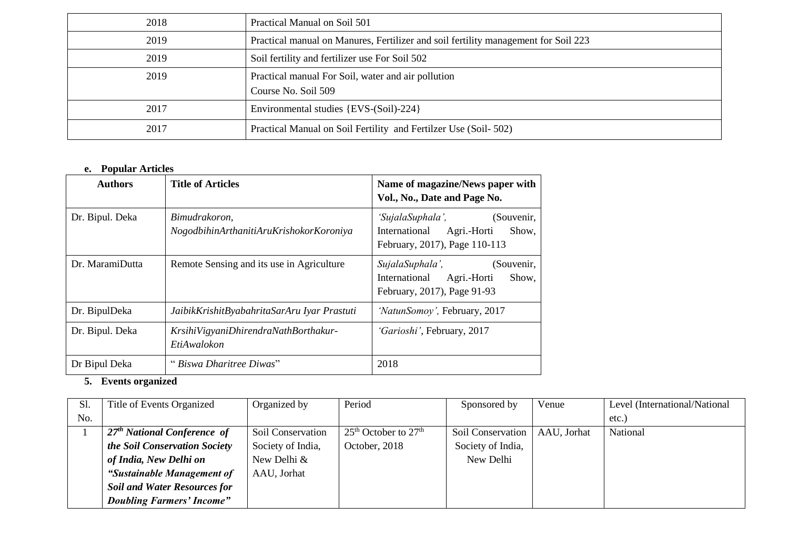| 2018 | Practical Manual on Soil 501                                                       |
|------|------------------------------------------------------------------------------------|
| 2019 | Practical manual on Manures, Fertilizer and soil fertility management for Soil 223 |
| 2019 | Soil fertility and fertilizer use For Soil 502                                     |
| 2019 | Practical manual For Soil, water and air pollution                                 |
|      | Course No. Soil 509                                                                |
| 2017 | Environmental studies {EVS-(Soil)-224}                                             |
| 2017 | Practical Manual on Soil Fertility and Fertilizer Use (Soil-502)                   |

## **e. Popular Articles**

| <b>Authors</b>  | <b>Title of Articles</b>                                 | Name of magazine/News paper with<br>Vol., No., Date and Page No.                                         |
|-----------------|----------------------------------------------------------|----------------------------------------------------------------------------------------------------------|
| Dr. Bipul. Deka | Bimudrakoron,<br>NogodbihinArthanitiAruKrishokorKoroniya | 'SujalaSuphala',<br>(Souvenir,<br>International<br>Agri.-Horti<br>Show,<br>February, 2017), Page 110-113 |
| Dr. MaramiDutta | Remote Sensing and its use in Agriculture                | SujalaSuphala',<br>(Souvenir,<br>International<br>Agri.-Horti<br>Show,<br>February, 2017), Page 91-93    |
| Dr. BipulDeka   | JaibikKrishitByabahritaSarAru Iyar Prastuti              | 'NatunSomoy', February, 2017                                                                             |
| Dr. Bipul. Deka | KrsihiVigyaniDhirendraNathBorthakur-<br>EtiAwalokon      | 'Garioshi', February, 2017                                                                               |
| Dr Bipul Deka   | "Biswa Dharitree Diwas"                                  | 2018                                                                                                     |

## **5. Events organized**

| Sl. | Title of Events Organized               | Organized by      | Period                   | Sponsored by      | Venue       | Level (International/National |
|-----|-----------------------------------------|-------------------|--------------------------|-------------------|-------------|-------------------------------|
| No. |                                         |                   |                          |                   |             | etc.                          |
|     | 27 <sup>th</sup> National Conference of | Soil Conservation | $25th$ October to $27th$ | Soil Conservation | AAU, Jorhat | National                      |
|     | the Soil Conservation Society           | Society of India, | October, 2018            | Society of India, |             |                               |
|     | of India, New Delhi on                  | New Delhi &       |                          | New Delhi         |             |                               |
|     | "Sustainable Management of              | AAU, Jorhat       |                          |                   |             |                               |
|     | <b>Soil and Water Resources for</b>     |                   |                          |                   |             |                               |
|     | <b>Doubling Farmers' Income"</b>        |                   |                          |                   |             |                               |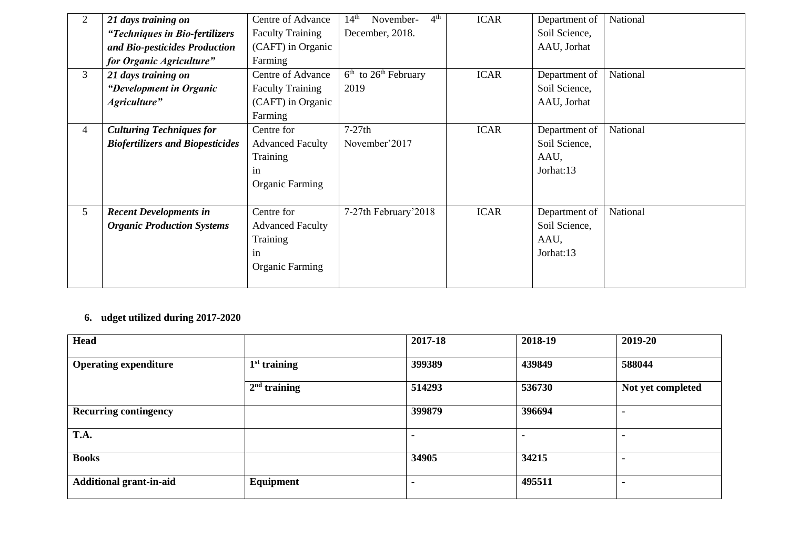| 2 | 21 days training on                     | Centre of Advance       | 4 <sup>th</sup><br>$14^{\text{th}}$<br>November- | <b>ICAR</b> | Department of | National |
|---|-----------------------------------------|-------------------------|--------------------------------------------------|-------------|---------------|----------|
|   | "Techniques in Bio-fertilizers          | <b>Faculty Training</b> | December, 2018.                                  |             | Soil Science, |          |
|   | and Bio-pesticides Production           | (CAFT) in Organic       |                                                  |             | AAU, Jorhat   |          |
|   | for Organic Agriculture"                | Farming                 |                                                  |             |               |          |
| 3 | 21 days training on                     | Centre of Advance       | $6th$ to $26th$ February                         | <b>ICAR</b> | Department of | National |
|   | <i>"Development in Organic</i> "        | <b>Faculty Training</b> | 2019                                             |             | Soil Science, |          |
|   | Agriculture"                            | (CAFT) in Organic       |                                                  |             | AAU, Jorhat   |          |
|   |                                         | Farming                 |                                                  |             |               |          |
| 4 | <b>Culturing Techniques for</b>         | Centre for              | $7-27th$                                         | <b>ICAR</b> | Department of | National |
|   | <b>Biofertilizers and Biopesticides</b> | <b>Advanced Faculty</b> | November'2017                                    |             | Soil Science, |          |
|   |                                         | Training                |                                                  |             | AAU,          |          |
|   |                                         | in                      |                                                  |             | Jorhat:13     |          |
|   |                                         | <b>Organic Farming</b>  |                                                  |             |               |          |
|   |                                         |                         |                                                  |             |               |          |
| 5 | <b>Recent Developments in</b>           | Centre for              | 7-27th February'2018                             | <b>ICAR</b> | Department of | National |
|   | <b>Organic Production Systems</b>       | <b>Advanced Faculty</b> |                                                  |             | Soil Science, |          |
|   |                                         | Training                |                                                  |             | AAU,          |          |
|   |                                         | in                      |                                                  |             | Jorhat:13     |          |
|   |                                         | <b>Organic Farming</b>  |                                                  |             |               |          |
|   |                                         |                         |                                                  |             |               |          |

## **6. udget utilized during 2017-2020**

| <b>Head</b>                    |                | 2017-18 | 2018-19 | 2019-20           |
|--------------------------------|----------------|---------|---------|-------------------|
| <b>Operating expenditure</b>   | $1st$ training | 399389  | 439849  | 588044            |
|                                | $2nd$ training | 514293  | 536730  | Not yet completed |
| <b>Recurring contingency</b>   |                | 399879  | 396694  | ۰                 |
| T.A.                           |                |         |         |                   |
| <b>Books</b>                   |                | 34905   | 34215   |                   |
| <b>Additional grant-in-aid</b> | Equipment      |         | 495511  | ۰                 |